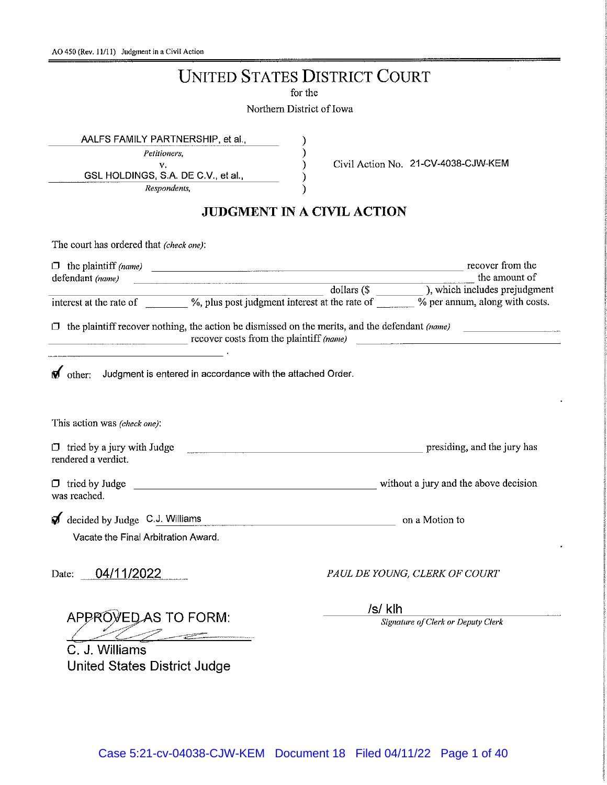# **UNITED STATES DISTRICT COURT**

for the

Northern District of Iowa

 $\mathcal{E}$ 

 $\mathcal{E}$ 

 $\mathcal{E}$ 

)

AALFS FAMILY PARTNERSHIP, et al.,

Petitioners,

v. GSL HOLDINGS, S.A. DE C.V., et al.,

Respondents,

Civil Action No. 21-CV-4038-CJW-KEM

## **JUDGMENT IN A CIVIL ACTION**

| The court has ordered that (check one):                                                                                                                                                    |  |                                    |                                                                                                                                                      |  |  |
|--------------------------------------------------------------------------------------------------------------------------------------------------------------------------------------------|--|------------------------------------|------------------------------------------------------------------------------------------------------------------------------------------------------|--|--|
| defendant (name)                                                                                                                                                                           |  | $\Box$ the plaintiff (name) $\Box$ | recover from the<br>the amount of                                                                                                                    |  |  |
|                                                                                                                                                                                            |  |                                    |                                                                                                                                                      |  |  |
|                                                                                                                                                                                            |  |                                    |                                                                                                                                                      |  |  |
|                                                                                                                                                                                            |  |                                    | $\Box$ the plaintiff recover nothing, the action be dismissed on the merits, and the defendant (name)<br>$recover \ncosts from the plaintiff (name)$ |  |  |
| <u> 1989 - Andrea State Barbara, amerikan basal dan berasal dan berasal dalam basal dan berasal dan berasal dan b</u><br>other: Judgment is entered in accordance with the attached Order. |  |                                    |                                                                                                                                                      |  |  |
| This action was (check one):                                                                                                                                                               |  |                                    |                                                                                                                                                      |  |  |
| $\Box$ tried by a jury with Judge<br>presiding, and the jury has<br>rendered a verdict.                                                                                                    |  |                                    |                                                                                                                                                      |  |  |
| was reached.                                                                                                                                                                               |  |                                    |                                                                                                                                                      |  |  |
| decided by Judge C.J. Williams<br>on a Motion to                                                                                                                                           |  |                                    |                                                                                                                                                      |  |  |
| Vacate the Final Arbitration Award.                                                                                                                                                        |  |                                    |                                                                                                                                                      |  |  |
| 04/11/2022<br>Date:                                                                                                                                                                        |  | PAUL DE YOUNG, CLERK OF COURT      |                                                                                                                                                      |  |  |
|                                                                                                                                                                                            |  | /s/ klh                            |                                                                                                                                                      |  |  |
| APPROVED AS TO FORM:                                                                                                                                                                       |  |                                    | Signature of Clerk or Deputy Clerk                                                                                                                   |  |  |
| C. J. Williams                                                                                                                                                                             |  |                                    |                                                                                                                                                      |  |  |
|                                                                                                                                                                                            |  |                                    |                                                                                                                                                      |  |  |
| United States District Judge                                                                                                                                                               |  |                                    |                                                                                                                                                      |  |  |

Case 5:21-cv-04038-CJW-KEM Document 18 Filed 04/11/22 Page 1 of 40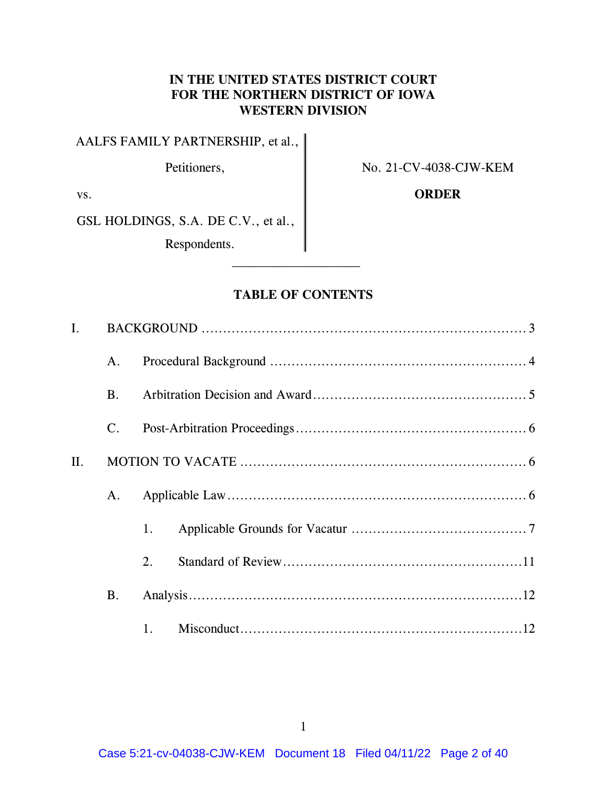### **IN THE UNITED STATES DISTRICT COURT FOR THE NORTHERN DISTRICT OF IOWA WESTERN DIVISION**

AALFS FAMILY PARTNERSHIP, et al.,

Petitioners,  $\parallel$  No. 21-CV-4038-CJW-KEM

vs. **ORDER** 

GSL HOLDINGS, S.A. DE C.V., et al.,

Respondents.

### **TABLE OF CONTENTS**

| $\mathbf{I}$ . |                |    |  |  |  |  |  |  |
|----------------|----------------|----|--|--|--|--|--|--|
|                | A.             |    |  |  |  |  |  |  |
|                | <b>B.</b>      |    |  |  |  |  |  |  |
|                | $\mathbf{C}$ . |    |  |  |  |  |  |  |
| II.            |                |    |  |  |  |  |  |  |
|                | A.             |    |  |  |  |  |  |  |
|                |                | 1. |  |  |  |  |  |  |
|                |                | 2. |  |  |  |  |  |  |
|                | <b>B.</b>      |    |  |  |  |  |  |  |
|                |                |    |  |  |  |  |  |  |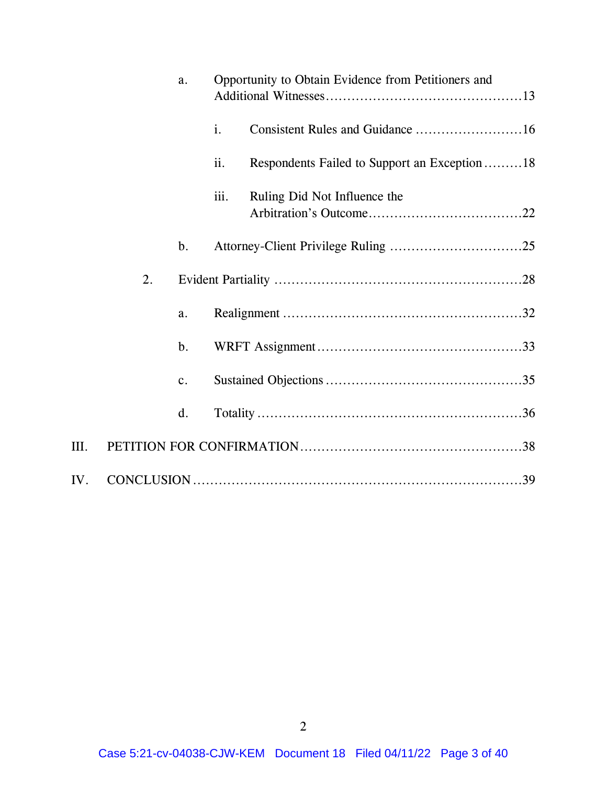|      | a. |                | Opportunity to Obtain Evidence from Petitioners and |                                               |  |
|------|----|----------------|-----------------------------------------------------|-----------------------------------------------|--|
|      |    |                | i.                                                  |                                               |  |
|      |    |                | ii.                                                 | Respondents Failed to Support an Exception 18 |  |
|      |    |                | iii.                                                | Ruling Did Not Influence the                  |  |
|      |    | b.             |                                                     |                                               |  |
|      | 2. |                |                                                     |                                               |  |
|      |    | a.             |                                                     |                                               |  |
|      |    | $\mathbf b$ .  |                                                     |                                               |  |
|      |    | $\mathbf{c}$ . |                                                     |                                               |  |
|      |    | d.             |                                                     |                                               |  |
| III. |    |                |                                                     |                                               |  |
| IV.  |    |                |                                                     |                                               |  |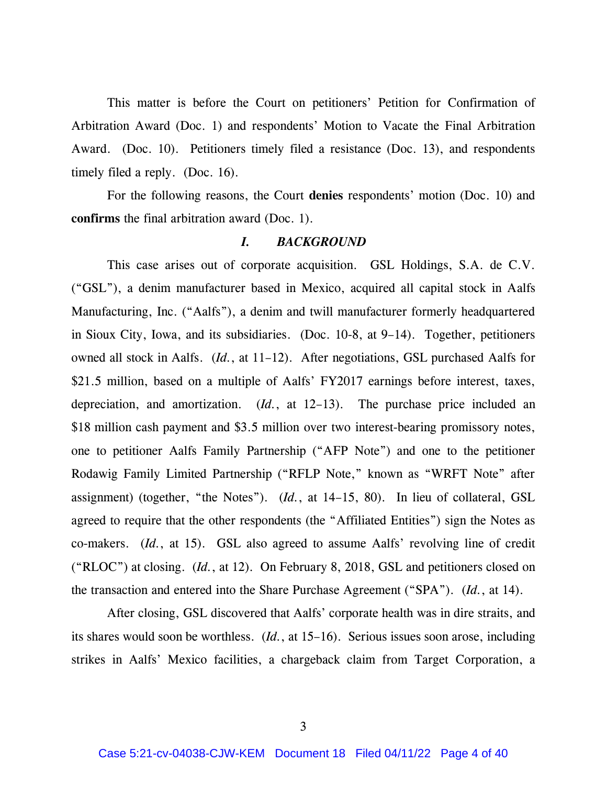This matter is before the Court on petitioners' Petition for Confirmation of Arbitration Award (Doc. 1) and respondents' Motion to Vacate the Final Arbitration Award. (Doc. 10). Petitioners timely filed a resistance (Doc. 13), and respondents timely filed a reply. (Doc. 16).

For the following reasons, the Court **denies** respondents' motion (Doc. 10) and **confirms** the final arbitration award (Doc. 1).

#### *I. BACKGROUND*

This case arises out of corporate acquisition. GSL Holdings, S.A. de C.V. ("GSL"), a denim manufacturer based in Mexico, acquired all capital stock in Aalfs Manufacturing, Inc. ("Aalfs"), a denim and twill manufacturer formerly headquartered in Sioux City, Iowa, and its subsidiaries. (Doc. 10-8, at 9–14). Together, petitioners owned all stock in Aalfs. (*Id.*, at 11–12). After negotiations, GSL purchased Aalfs for \$21.5 million, based on a multiple of Aalfs' FY2017 earnings before interest, taxes, depreciation, and amortization. (*Id.*, at 12–13). The purchase price included an \$18 million cash payment and \$3.5 million over two interest-bearing promissory notes, one to petitioner Aalfs Family Partnership ("AFP Note") and one to the petitioner Rodawig Family Limited Partnership ("RFLP Note," known as "WRFT Note" after assignment) (together, "the Notes"). (*Id.*, at 14–15, 80). In lieu of collateral, GSL agreed to require that the other respondents (the "Affiliated Entities") sign the Notes as co-makers. (*Id.*, at 15). GSL also agreed to assume Aalfs' revolving line of credit ("RLOC") at closing. (*Id.*, at 12). On February 8, 2018, GSL and petitioners closed on the transaction and entered into the Share Purchase Agreement ("SPA"). (*Id.*, at 14).

After closing, GSL discovered that Aalfs' corporate health was in dire straits, and its shares would soon be worthless. (*Id.*, at 15–16). Serious issues soon arose, including strikes in Aalfs' Mexico facilities, a chargeback claim from Target Corporation, a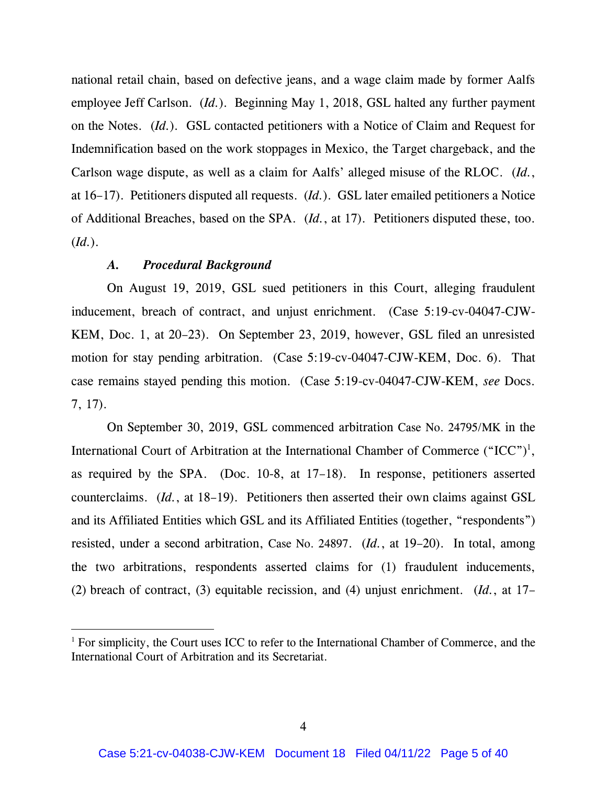national retail chain, based on defective jeans, and a wage claim made by former Aalfs employee Jeff Carlson. (*Id.*). Beginning May 1, 2018, GSL halted any further payment on the Notes. (*Id.*). GSL contacted petitioners with a Notice of Claim and Request for Indemnification based on the work stoppages in Mexico, the Target chargeback, and the Carlson wage dispute, as well as a claim for Aalfs' alleged misuse of the RLOC. (*Id.*, at 16–17). Petitioners disputed all requests. (*Id.*). GSL later emailed petitioners a Notice of Additional Breaches, based on the SPA. (*Id.*, at 17). Petitioners disputed these, too. (*Id.*).

#### *A. Procedural Background*

On August 19, 2019, GSL sued petitioners in this Court, alleging fraudulent inducement, breach of contract, and unjust enrichment. (Case 5:19-cv-04047-CJW-KEM, Doc. 1, at 20–23). On September 23, 2019, however, GSL filed an unresisted motion for stay pending arbitration. (Case 5:19-cv-04047-CJW-KEM, Doc. 6). That case remains stayed pending this motion. (Case 5:19-cv-04047-CJW-KEM, *see* Docs. 7, 17).

On September 30, 2019, GSL commenced arbitration Case No. 24795/MK in the International Court of Arbitration at the International Chamber of Commerce  $({}^{\omega}ICC^{\gamma})^1$ , as required by the SPA. (Doc. 10-8, at 17–18). In response, petitioners asserted counterclaims. (*Id.*, at 18–19). Petitioners then asserted their own claims against GSL and its Affiliated Entities which GSL and its Affiliated Entities (together, "respondents") resisted, under a second arbitration, Case No. 24897. (*Id.*, at 19–20). In total, among the two arbitrations, respondents asserted claims for (1) fraudulent inducements, (2) breach of contract, (3) equitable recission, and (4) unjust enrichment. (*Id.*, at 17–

 $1$  For simplicity, the Court uses ICC to refer to the International Chamber of Commerce, and the International Court of Arbitration and its Secretariat.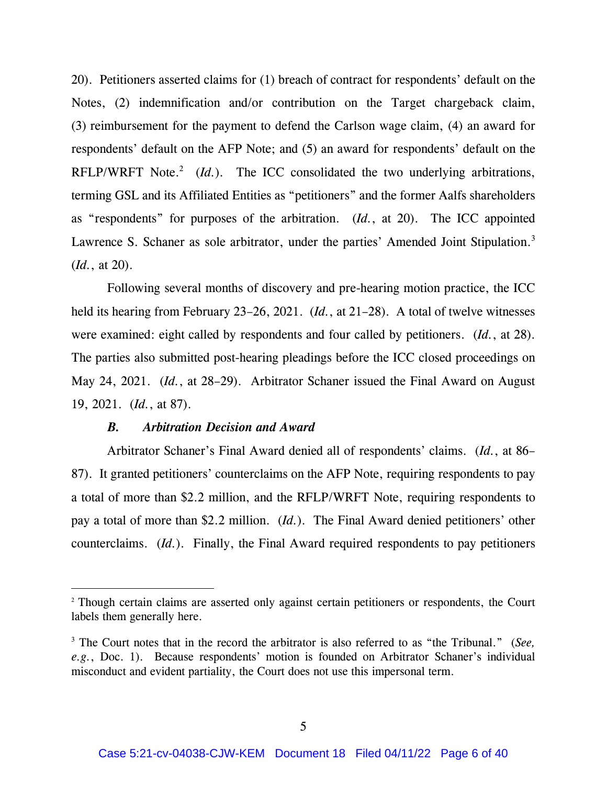20). Petitioners asserted claims for (1) breach of contract for respondents' default on the Notes, (2) indemnification and/or contribution on the Target chargeback claim, (3) reimbursement for the payment to defend the Carlson wage claim, (4) an award for respondents' default on the AFP Note; and (5) an award for respondents' default on the RFLP/WRFT Note.<sup>2</sup> (*Id.*). The ICC consolidated the two underlying arbitrations, terming GSL and its Affiliated Entities as "petitioners" and the former Aalfs shareholders as "respondents" for purposes of the arbitration. (*Id.*, at 20). The ICC appointed Lawrence S. Schaner as sole arbitrator, under the parties' Amended Joint Stipulation.<sup>3</sup> (*Id.*, at 20).

Following several months of discovery and pre-hearing motion practice, the ICC held its hearing from February 23–26, 2021. (*Id.*, at 21–28). A total of twelve witnesses were examined: eight called by respondents and four called by petitioners. (*Id.*, at 28). The parties also submitted post-hearing pleadings before the ICC closed proceedings on May 24, 2021. (*Id.*, at 28–29). Arbitrator Schaner issued the Final Award on August 19, 2021. (*Id.*, at 87).

#### *B. Arbitration Decision and Award*

Arbitrator Schaner's Final Award denied all of respondents' claims. (*Id.*, at 86– 87). It granted petitioners' counterclaims on the AFP Note, requiring respondents to pay a total of more than \$2.2 million, and the RFLP/WRFT Note, requiring respondents to pay a total of more than \$2.2 million. (*Id.*). The Final Award denied petitioners' other counterclaims. (*Id.*). Finally, the Final Award required respondents to pay petitioners

<sup>&</sup>lt;sup>2</sup> Though certain claims are asserted only against certain petitioners or respondents, the Court labels them generally here.

<sup>&</sup>lt;sup>3</sup> The Court notes that in the record the arbitrator is also referred to as "the Tribunal." (*See*, *e.g.*, Doc. 1). Because respondents' motion is founded on Arbitrator Schaner's individual misconduct and evident partiality, the Court does not use this impersonal term.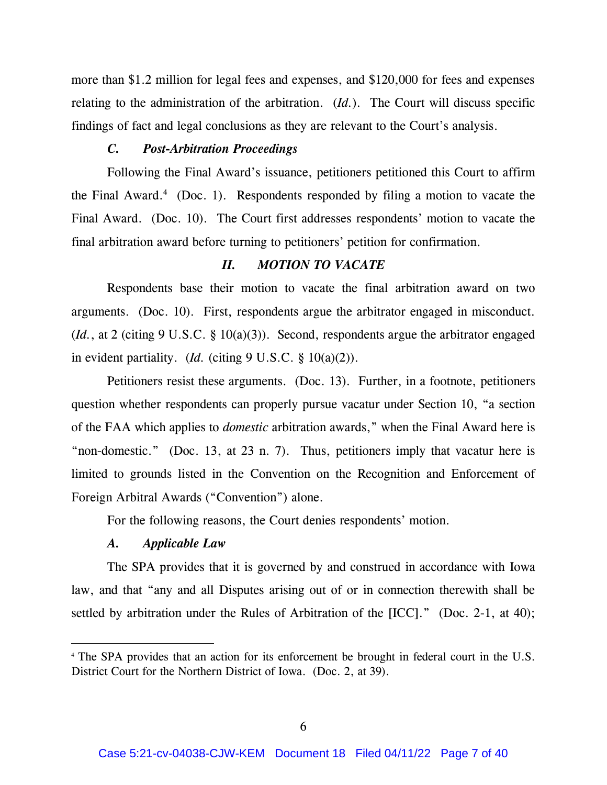more than \$1.2 million for legal fees and expenses, and \$120,000 for fees and expenses relating to the administration of the arbitration. (*Id.*). The Court will discuss specific findings of fact and legal conclusions as they are relevant to the Court's analysis.

#### *C. Post-Arbitration Proceedings*

Following the Final Award's issuance, petitioners petitioned this Court to affirm the Final Award. $4$  (Doc. 1). Respondents responded by filing a motion to vacate the Final Award. (Doc. 10). The Court first addresses respondents' motion to vacate the final arbitration award before turning to petitioners' petition for confirmation.

### *II. MOTION TO VACATE*

Respondents base their motion to vacate the final arbitration award on two arguments. (Doc. 10). First, respondents argue the arbitrator engaged in misconduct. (*Id.*, at 2 (citing 9 U.S.C. § 10(a)(3)). Second, respondents argue the arbitrator engaged in evident partiality. (*Id.* (citing 9 U.S.C. § 10(a)(2)).

Petitioners resist these arguments. (Doc. 13). Further, in a footnote, petitioners question whether respondents can properly pursue vacatur under Section 10, "a section of the FAA which applies to *domestic* arbitration awards," when the Final Award here is "non-domestic." (Doc. 13, at 23 n. 7). Thus, petitioners imply that vacatur here is limited to grounds listed in the Convention on the Recognition and Enforcement of Foreign Arbitral Awards ("Convention") alone.

For the following reasons, the Court denies respondents' motion.

#### *A. Applicable Law*

The SPA provides that it is governed by and construed in accordance with Iowa law, and that "any and all Disputes arising out of or in connection therewith shall be settled by arbitration under the Rules of Arbitration of the [ICC]." (Doc. 2-1, at 40);

<sup>4</sup> The SPA provides that an action for its enforcement be brought in federal court in the U.S. District Court for the Northern District of Iowa. (Doc. 2, at 39).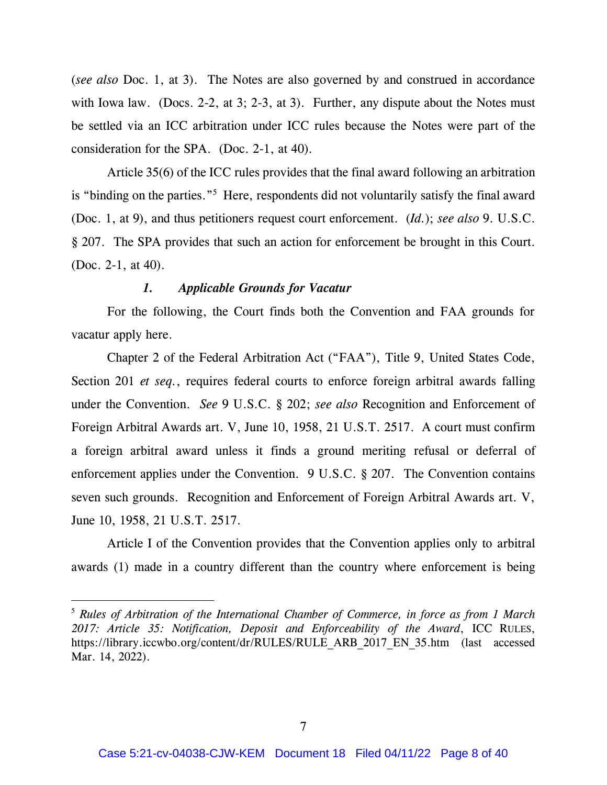(*see also* Doc. 1, at 3). The Notes are also governed by and construed in accordance with Iowa law. (Docs. 2-2, at 3; 2-3, at 3). Further, any dispute about the Notes must be settled via an ICC arbitration under ICC rules because the Notes were part of the consideration for the SPA. (Doc. 2-1, at 40).

Article 35(6) of the ICC rules provides that the final award following an arbitration is "binding on the parties."<sup>5</sup> Here, respondents did not voluntarily satisfy the final award (Doc. 1, at 9), and thus petitioners request court enforcement. (*Id.*); *see also* 9. U.S.C. § 207. The SPA provides that such an action for enforcement be brought in this Court. (Doc. 2-1, at 40).

### *1. Applicable Grounds for Vacatur*

For the following, the Court finds both the Convention and FAA grounds for vacatur apply here.

Chapter 2 of the Federal Arbitration Act ("FAA"), Title 9, United States Code, Section 201 *et seq.*, requires federal courts to enforce foreign arbitral awards falling under the Convention. *See* 9 U.S.C. § 202; *see also* Recognition and Enforcement of Foreign Arbitral Awards art. V, June 10, 1958, 21 U.S.T. 2517. A court must confirm a foreign arbitral award unless it finds a ground meriting refusal or deferral of enforcement applies under the Convention. 9 U.S.C. § 207. The Convention contains seven such grounds. Recognition and Enforcement of Foreign Arbitral Awards art. V, June 10, 1958, 21 U.S.T. 2517.

Article I of the Convention provides that the Convention applies only to arbitral awards (1) made in a country different than the country where enforcement is being

<sup>5</sup> *Rules of Arbitration of the International Chamber of Commerce, in force as from 1 March 2017: Article 35: Notification, Deposit and Enforceability of the Award*, ICC RULES, https://library.iccwbo.org/content/dr/RULES/RULE\_ARB\_2017\_EN\_35.htm (last accessed Mar. 14, 2022).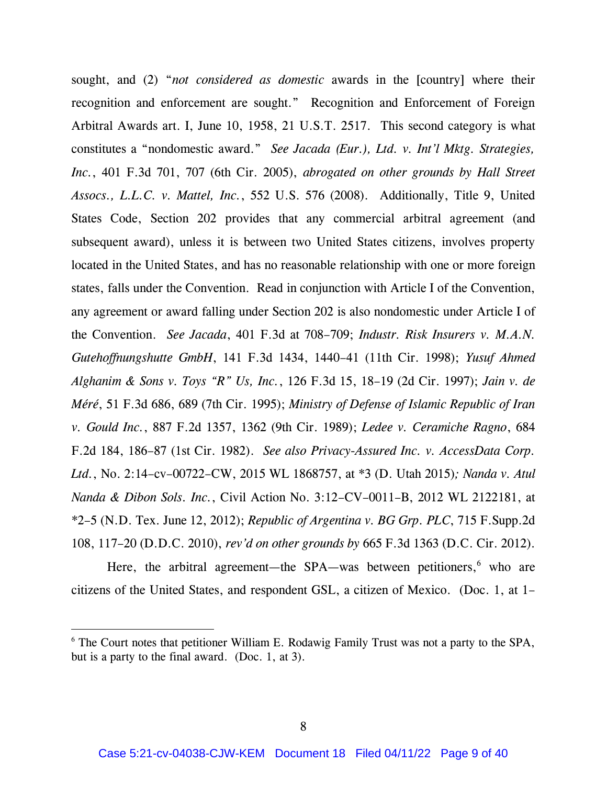sought, and (2) "*not considered as domestic* awards in the [country] where their recognition and enforcement are sought." Recognition and Enforcement of Foreign Arbitral Awards art. I, June 10, 1958, 21 U.S.T. 2517. This second category is what constitutes a "nondomestic award." *See Jacada (Eur.), Ltd. v. Int'l Mktg. Strategies, Inc.*, 401 F.3d 701, 707 (6th Cir. 2005), *abrogated on other grounds by Hall Street Assocs., L.L.C. v. Mattel, Inc.*, 552 U.S. 576 (2008). Additionally, Title 9, United States Code, Section 202 provides that any commercial arbitral agreement (and subsequent award), unless it is between two United States citizens, involves property located in the United States, and has no reasonable relationship with one or more foreign states, falls under the Convention. Read in conjunction with Article I of the Convention, any agreement or award falling under Section 202 is also nondomestic under Article I of the Convention. *See Jacada*, 401 F.3d at 708–709; *Industr. Risk Insurers v. M.A.N. Gutehoffnungshutte GmbH*, 141 F.3d 1434, 1440–41 (11th Cir. 1998); *Yusuf Ahmed Alghanim & Sons v. Toys "R" Us, Inc.*, 126 F.3d 15, 18–19 (2d Cir. 1997); *Jain v. de Méré*, 51 F.3d 686, 689 (7th Cir. 1995); *Ministry of Defense of Islamic Republic of Iran v. Gould Inc.*, 887 F.2d 1357, 1362 (9th Cir. 1989); *Ledee v. Ceramiche Ragno*, 684 F.2d 184, 186–87 (1st Cir. 1982). *See also Privacy-Assured Inc. v. AccessData Corp. Ltd.*, No. 2:14–cv–00722–CW, 2015 WL 1868757, at \*3 (D. Utah 2015)*; Nanda v. Atul Nanda & Dibon Sols. Inc.*, Civil Action No. 3:12–CV–0011–B, 2012 WL 2122181, at \*2–5 (N.D. Tex. June 12, 2012); *Republic of Argentina v. BG Grp. PLC*, 715 F.Supp.2d 108, 117–20 (D.D.C. 2010), *rev'd on other grounds by* 665 F.3d 1363 (D.C. Cir. 2012).

Here, the arbitral agreement—the SPA—was between petitioners, $6$  who are citizens of the United States, and respondent GSL, a citizen of Mexico. (Doc. 1, at 1–

 $6$  The Court notes that petitioner William E. Rodawig Family Trust was not a party to the SPA, but is a party to the final award. (Doc. 1, at 3).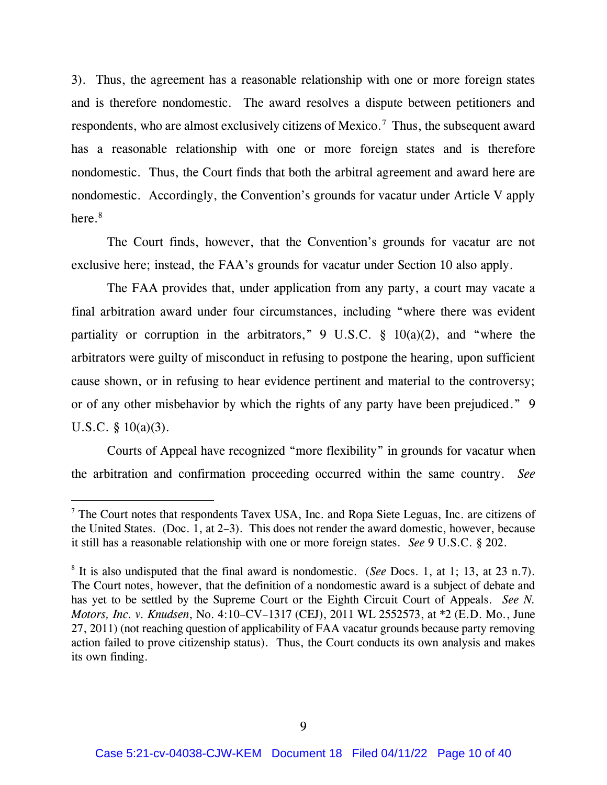3). Thus, the agreement has a reasonable relationship with one or more foreign states and is therefore nondomestic. The award resolves a dispute between petitioners and respondents, who are almost exclusively citizens of Mexico.<sup>7</sup> Thus, the subsequent award has a reasonable relationship with one or more foreign states and is therefore nondomestic. Thus, the Court finds that both the arbitral agreement and award here are nondomestic. Accordingly, the Convention's grounds for vacatur under Article V apply here. 8

The Court finds, however, that the Convention's grounds for vacatur are not exclusive here; instead, the FAA's grounds for vacatur under Section 10 also apply.

The FAA provides that, under application from any party, a court may vacate a final arbitration award under four circumstances, including "where there was evident partiality or corruption in the arbitrators," 9 U.S.C.  $\S$  10(a)(2), and "where the arbitrators were guilty of misconduct in refusing to postpone the hearing, upon sufficient cause shown, or in refusing to hear evidence pertinent and material to the controversy; or of any other misbehavior by which the rights of any party have been prejudiced." 9 U.S.C.  $\S$  10(a)(3).

Courts of Appeal have recognized "more flexibility" in grounds for vacatur when the arbitration and confirmation proceeding occurred within the same country. *See* 

<sup>7</sup> The Court notes that respondents Tavex USA, Inc. and Ropa Siete Leguas, Inc. are citizens of the United States. (Doc. 1, at 2–3). This does not render the award domestic, however, because it still has a reasonable relationship with one or more foreign states. *See* 9 U.S.C. § 202.

<sup>8</sup> It is also undisputed that the final award is nondomestic. (*See* Docs. 1, at 1; 13, at 23 n.7). The Court notes, however, that the definition of a nondomestic award is a subject of debate and has yet to be settled by the Supreme Court or the Eighth Circuit Court of Appeals. *See N. Motors, Inc. v. Knudsen*, No. 4:10–CV–1317 (CEJ), 2011 WL 2552573, at \*2 (E.D. Mo., June 27, 2011) (not reaching question of applicability of FAA vacatur grounds because party removing action failed to prove citizenship status). Thus, the Court conducts its own analysis and makes its own finding.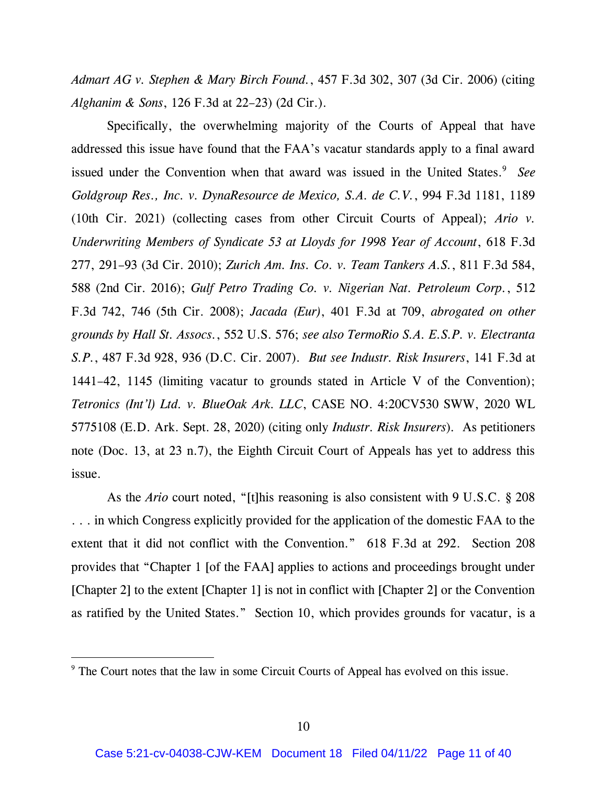*Admart AG v. Stephen & Mary Birch Found.*, 457 F.3d 302, 307 (3d Cir. 2006) (citing *Alghanim & Sons*, 126 F.3d at 22–23) (2d Cir.).

Specifically, the overwhelming majority of the Courts of Appeal that have addressed this issue have found that the FAA's vacatur standards apply to a final award issued under the Convention when that award was issued in the United States.<sup>9</sup> See *Goldgroup Res., Inc. v. DynaResource de Mexico, S.A. de C.V.*, 994 F.3d 1181, 1189 (10th Cir. 2021) (collecting cases from other Circuit Courts of Appeal); *Ario v. Underwriting Members of Syndicate 53 at Lloyds for 1998 Year of Account*, 618 F.3d 277, 291–93 (3d Cir. 2010); *Zurich Am. Ins. Co. v. Team Tankers A.S.*, 811 F.3d 584, 588 (2nd Cir. 2016); *Gulf Petro Trading Co. v. Nigerian Nat. Petroleum Corp.*, 512 F.3d 742, 746 (5th Cir. 2008); *Jacada (Eur)*, 401 F.3d at 709, *abrogated on other grounds by Hall St. Assocs.*, 552 U.S. 576; *see also TermoRio S.A. E.S.P. v. Electranta S.P.*, 487 F.3d 928, 936 (D.C. Cir. 2007). *But see Industr. Risk Insurers*, 141 F.3d at 1441–42, 1145 (limiting vacatur to grounds stated in Article V of the Convention); *Tetronics (Int'l) Ltd. v. BlueOak Ark. LLC*, CASE NO. 4:20CV530 SWW, 2020 WL 5775108 (E.D. Ark. Sept. 28, 2020) (citing only *Industr. Risk Insurers*)*.* As petitioners note (Doc. 13, at 23 n.7), the Eighth Circuit Court of Appeals has yet to address this issue.

As the *Ario* court noted, "[t]his reasoning is also consistent with 9 U.S.C. § 208 . . . in which Congress explicitly provided for the application of the domestic FAA to the extent that it did not conflict with the Convention." 618 F.3d at 292. Section 208 provides that "Chapter 1 [of the FAA] applies to actions and proceedings brought under [Chapter 2] to the extent [Chapter 1] is not in conflict with [Chapter 2] or the Convention as ratified by the United States." Section 10, which provides grounds for vacatur, is a

<sup>&</sup>lt;sup>9</sup> The Court notes that the law in some Circuit Courts of Appeal has evolved on this issue.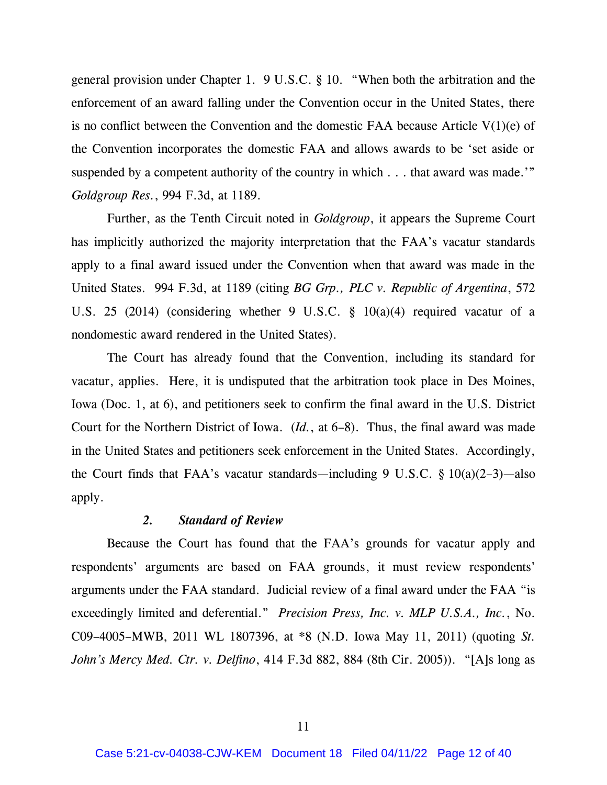general provision under Chapter 1. 9 U.S.C. § 10. "When both the arbitration and the enforcement of an award falling under the Convention occur in the United States, there is no conflict between the Convention and the domestic FAA because Article V(1)(e) of the Convention incorporates the domestic FAA and allows awards to be 'set aside or suspended by a competent authority of the country in which . . . that award was made.'" *Goldgroup Res.*, 994 F.3d, at 1189.

Further, as the Tenth Circuit noted in *Goldgroup*, it appears the Supreme Court has implicitly authorized the majority interpretation that the FAA's vacatur standards apply to a final award issued under the Convention when that award was made in the United States. 994 F.3d, at 1189 (citing *BG Grp., PLC v. Republic of Argentina*, 572 U.S. 25 (2014) (considering whether 9 U.S.C. § 10(a)(4) required vacatur of a nondomestic award rendered in the United States).

The Court has already found that the Convention, including its standard for vacatur, applies. Here, it is undisputed that the arbitration took place in Des Moines, Iowa (Doc. 1, at 6), and petitioners seek to confirm the final award in the U.S. District Court for the Northern District of Iowa. (*Id.*, at 6–8). Thus, the final award was made in the United States and petitioners seek enforcement in the United States. Accordingly, the Court finds that FAA's vacatur standards—including 9 U.S.C.  $\S 10(a)(2-3)$ —also apply.

#### *2. Standard of Review*

Because the Court has found that the FAA's grounds for vacatur apply and respondents' arguments are based on FAA grounds, it must review respondents' arguments under the FAA standard. Judicial review of a final award under the FAA "is exceedingly limited and deferential." *Precision Press, Inc. v. MLP U.S.A., Inc.*, No. C09–4005–MWB, 2011 WL 1807396, at \*8 (N.D. Iowa May 11, 2011) (quoting *St. John's Mercy Med. Ctr. v. Delfino*, 414 F.3d 882, 884 (8th Cir. 2005)). "[A]s long as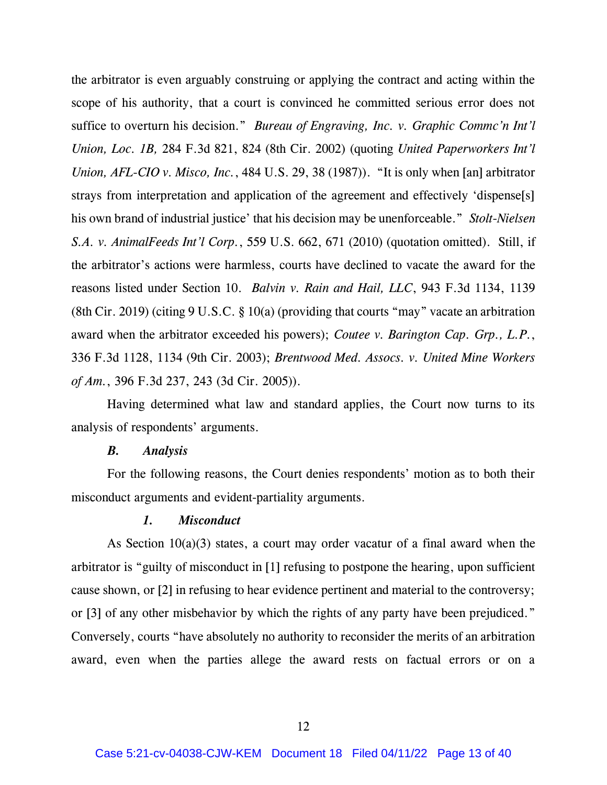the arbitrator is even arguably construing or applying the contract and acting within the scope of his authority, that a court is convinced he committed serious error does not suffice to overturn his decision." *Bureau of Engraving, Inc. v. Graphic Commc'n Int'l Union, Loc. 1B,* 284 F.3d 821, 824 (8th Cir. 2002) (quoting *United Paperworkers Int'l Union, AFL-CIO v. Misco, Inc.*, 484 U.S. 29, 38 (1987)). "It is only when [an] arbitrator strays from interpretation and application of the agreement and effectively 'dispense[s] his own brand of industrial justice' that his decision may be unenforceable." *Stolt-Nielsen S.A. v. AnimalFeeds Int'l Corp.*, 559 U.S. 662, 671 (2010) (quotation omitted). Still, if the arbitrator's actions were harmless, courts have declined to vacate the award for the reasons listed under Section 10. *Balvin v. Rain and Hail, LLC*, 943 F.3d 1134, 1139 (8th Cir. 2019) (citing 9 U.S.C. § 10(a) (providing that courts "may" vacate an arbitration award when the arbitrator exceeded his powers); *Coutee v. Barington Cap. Grp., L.P.*, 336 F.3d 1128, 1134 (9th Cir. 2003); *Brentwood Med. Assocs. v. United Mine Workers of Am.*, 396 F.3d 237, 243 (3d Cir. 2005)).

Having determined what law and standard applies, the Court now turns to its analysis of respondents' arguments.

#### *B. Analysis*

For the following reasons, the Court denies respondents' motion as to both their misconduct arguments and evident-partiality arguments.

#### *1. Misconduct*

As Section 10(a)(3) states, a court may order vacatur of a final award when the arbitrator is "guilty of misconduct in [1] refusing to postpone the hearing, upon sufficient cause shown, or [2] in refusing to hear evidence pertinent and material to the controversy; or [3] of any other misbehavior by which the rights of any party have been prejudiced." Conversely, courts "have absolutely no authority to reconsider the merits of an arbitration award, even when the parties allege the award rests on factual errors or on a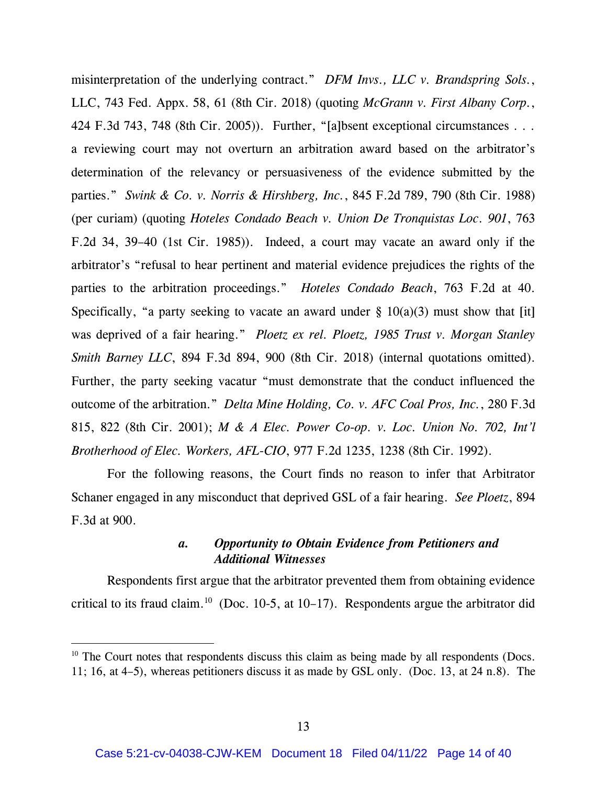misinterpretation of the underlying contract." *DFM Invs., LLC v. Brandspring Sols.*, LLC, 743 Fed. Appx. 58, 61 (8th Cir. 2018) (quoting *McGrann v. First Albany Corp.*, 424 F.3d 743, 748 (8th Cir. 2005)). Further, "[a]bsent exceptional circumstances . . . a reviewing court may not overturn an arbitration award based on the arbitrator's determination of the relevancy or persuasiveness of the evidence submitted by the parties." *Swink & Co. v. Norris & Hirshberg, Inc.*, 845 F.2d 789, 790 (8th Cir. 1988) (per curiam) (quoting *Hoteles Condado Beach v. Union De Tronquistas Loc. 901*, 763 F.2d 34, 39–40 (1st Cir. 1985)). Indeed, a court may vacate an award only if the arbitrator's "refusal to hear pertinent and material evidence prejudices the rights of the parties to the arbitration proceedings." *Hoteles Condado Beach*, 763 F.2d at 40. Specifically, "a party seeking to vacate an award under  $\S$  10(a)(3) must show that [it] was deprived of a fair hearing." *Ploetz ex rel. Ploetz, 1985 Trust v. Morgan Stanley Smith Barney LLC*, 894 F.3d 894, 900 (8th Cir. 2018) (internal quotations omitted). Further, the party seeking vacatur "must demonstrate that the conduct influenced the outcome of the arbitration." *Delta Mine Holding, Co. v. AFC Coal Pros, Inc.*, 280 F.3d 815, 822 (8th Cir. 2001); *M & A Elec. Power Co-op. v. Loc. Union No. 702, Int'l Brotherhood of Elec. Workers, AFL-CIO*, 977 F.2d 1235, 1238 (8th Cir. 1992).

For the following reasons, the Court finds no reason to infer that Arbitrator Schaner engaged in any misconduct that deprived GSL of a fair hearing. *See Ploetz*, 894 F.3d at 900.

### *a. Opportunity to Obtain Evidence from Petitioners and Additional Witnesses*

Respondents first argue that the arbitrator prevented them from obtaining evidence critical to its fraud claim.<sup>10</sup> (Doc. 10-5, at 10–17). Respondents argue the arbitrator did

 $10$  The Court notes that respondents discuss this claim as being made by all respondents (Docs. 11; 16, at 4–5), whereas petitioners discuss it as made by GSL only. (Doc. 13, at 24 n.8). The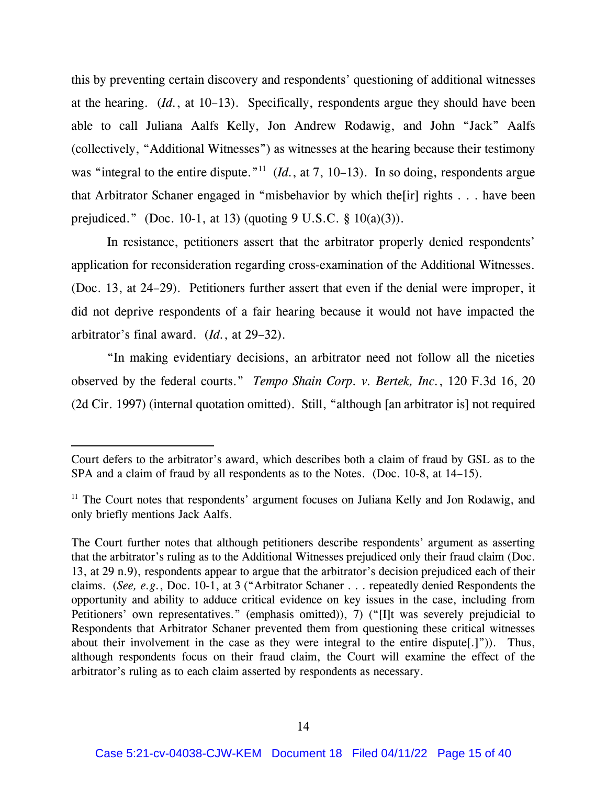this by preventing certain discovery and respondents' questioning of additional witnesses at the hearing. (*Id.*, at 10–13). Specifically, respondents argue they should have been able to call Juliana Aalfs Kelly, Jon Andrew Rodawig, and John "Jack" Aalfs (collectively, "Additional Witnesses") as witnesses at the hearing because their testimony was "integral to the entire dispute."<sup>11</sup> (*Id.*, at 7, 10–13). In so doing, respondents argue that Arbitrator Schaner engaged in "misbehavior by which the[ir] rights . . . have been prejudiced." (Doc. 10-1, at 13) (quoting  $9 \text{ U.S.C. } § 10(a)(3)$ ).

In resistance, petitioners assert that the arbitrator properly denied respondents' application for reconsideration regarding cross-examination of the Additional Witnesses. (Doc. 13, at 24–29). Petitioners further assert that even if the denial were improper, it did not deprive respondents of a fair hearing because it would not have impacted the arbitrator's final award. (*Id.*, at 29–32).

"In making evidentiary decisions, an arbitrator need not follow all the niceties observed by the federal courts." *Tempo Shain Corp. v. Bertek, Inc.*, 120 F.3d 16, 20 (2d Cir. 1997) (internal quotation omitted). Still, "although [an arbitrator is] not required

Court defers to the arbitrator's award, which describes both a claim of fraud by GSL as to the SPA and a claim of fraud by all respondents as to the Notes. (Doc. 10-8, at 14–15).

<sup>&</sup>lt;sup>11</sup> The Court notes that respondents' argument focuses on Juliana Kelly and Jon Rodawig, and only briefly mentions Jack Aalfs.

The Court further notes that although petitioners describe respondents' argument as asserting that the arbitrator's ruling as to the Additional Witnesses prejudiced only their fraud claim (Doc. 13, at 29 n.9), respondents appear to argue that the arbitrator's decision prejudiced each of their claims. (*See, e.g.*, Doc. 10-1, at 3 ("Arbitrator Schaner . . . repeatedly denied Respondents the opportunity and ability to adduce critical evidence on key issues in the case, including from Petitioners' own representatives." (emphasis omitted)), 7) ("IIt was severely prejudicial to Respondents that Arbitrator Schaner prevented them from questioning these critical witnesses about their involvement in the case as they were integral to the entire dispute[.]")). Thus, although respondents focus on their fraud claim, the Court will examine the effect of the arbitrator's ruling as to each claim asserted by respondents as necessary.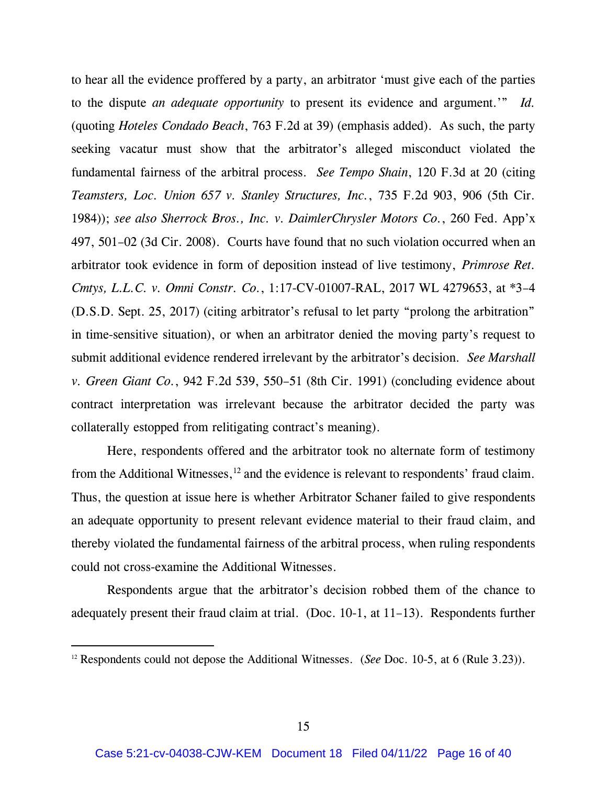to hear all the evidence proffered by a party, an arbitrator 'must give each of the parties to the dispute *an adequate opportunity* to present its evidence and argument.'" *Id.* (quoting *Hoteles Condado Beach*, 763 F.2d at 39) (emphasis added). As such, the party seeking vacatur must show that the arbitrator's alleged misconduct violated the fundamental fairness of the arbitral process. *See Tempo Shain*, 120 F.3d at 20 (citing *Teamsters, Loc. Union 657 v. Stanley Structures, Inc.*, 735 F.2d 903, 906 (5th Cir. 1984)); *see also Sherrock Bros., Inc. v. DaimlerChrysler Motors Co.*, 260 Fed. App'x 497, 501–02 (3d Cir. 2008). Courts have found that no such violation occurred when an arbitrator took evidence in form of deposition instead of live testimony, *Primrose Ret. Cmtys, L.L.C. v. Omni Constr. Co.*, 1:17-CV-01007-RAL, 2017 WL 4279653, at \*3–4 (D.S.D. Sept. 25, 2017) (citing arbitrator's refusal to let party "prolong the arbitration" in time-sensitive situation), or when an arbitrator denied the moving party's request to submit additional evidence rendered irrelevant by the arbitrator's decision. *See Marshall v. Green Giant Co.*, 942 F.2d 539, 550–51 (8th Cir. 1991) (concluding evidence about contract interpretation was irrelevant because the arbitrator decided the party was collaterally estopped from relitigating contract's meaning).

Here, respondents offered and the arbitrator took no alternate form of testimony from the Additional Witnesses,  $12$  and the evidence is relevant to respondents' fraud claim. Thus, the question at issue here is whether Arbitrator Schaner failed to give respondents an adequate opportunity to present relevant evidence material to their fraud claim, and thereby violated the fundamental fairness of the arbitral process, when ruling respondents could not cross-examine the Additional Witnesses.

Respondents argue that the arbitrator's decision robbed them of the chance to adequately present their fraud claim at trial. (Doc. 10-1, at 11–13). Respondents further

<sup>12</sup> Respondents could not depose the Additional Witnesses. (*See* Doc. 10-5, at 6 (Rule 3.23)).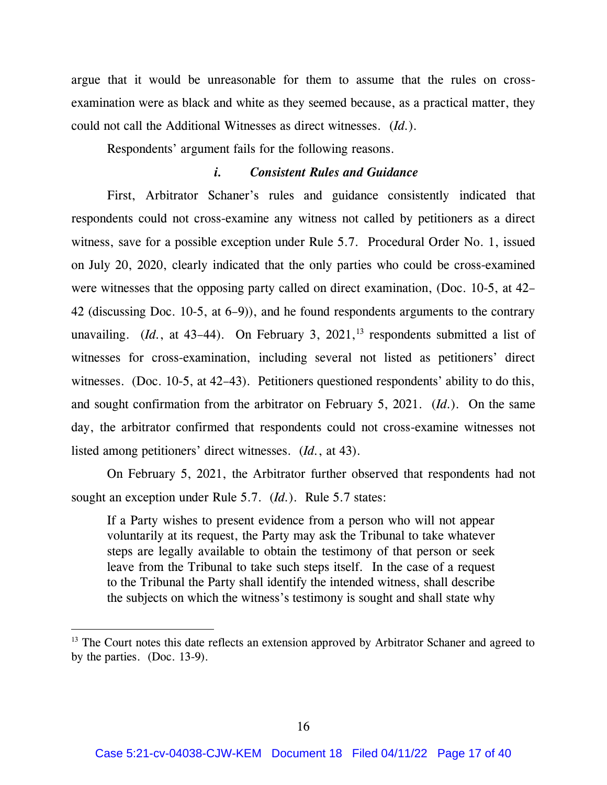argue that it would be unreasonable for them to assume that the rules on crossexamination were as black and white as they seemed because, as a practical matter, they could not call the Additional Witnesses as direct witnesses. (*Id.*).

Respondents' argument fails for the following reasons.

### *i. Consistent Rules and Guidance*

First, Arbitrator Schaner's rules and guidance consistently indicated that respondents could not cross-examine any witness not called by petitioners as a direct witness, save for a possible exception under Rule 5.7. Procedural Order No. 1, issued on July 20, 2020, clearly indicated that the only parties who could be cross-examined were witnesses that the opposing party called on direct examination, (Doc. 10-5, at 42– 42 (discussing Doc. 10-5, at 6–9)), and he found respondents arguments to the contrary unavailing. *. On February 3, 2021,<sup>13</sup> respondents submitted a list of* witnesses for cross-examination, including several not listed as petitioners' direct witnesses. (Doc. 10-5, at 42–43). Petitioners questioned respondents' ability to do this, and sought confirmation from the arbitrator on February 5, 2021. (*Id.*). On the same day, the arbitrator confirmed that respondents could not cross-examine witnesses not listed among petitioners' direct witnesses. (*Id.*, at 43).

On February 5, 2021, the Arbitrator further observed that respondents had not sought an exception under Rule 5.7. (*Id.*). Rule 5.7 states:

If a Party wishes to present evidence from a person who will not appear voluntarily at its request, the Party may ask the Tribunal to take whatever steps are legally available to obtain the testimony of that person or seek leave from the Tribunal to take such steps itself. In the case of a request to the Tribunal the Party shall identify the intended witness, shall describe the subjects on which the witness's testimony is sought and shall state why

<sup>&</sup>lt;sup>13</sup> The Court notes this date reflects an extension approved by Arbitrator Schaner and agreed to by the parties. (Doc. 13-9).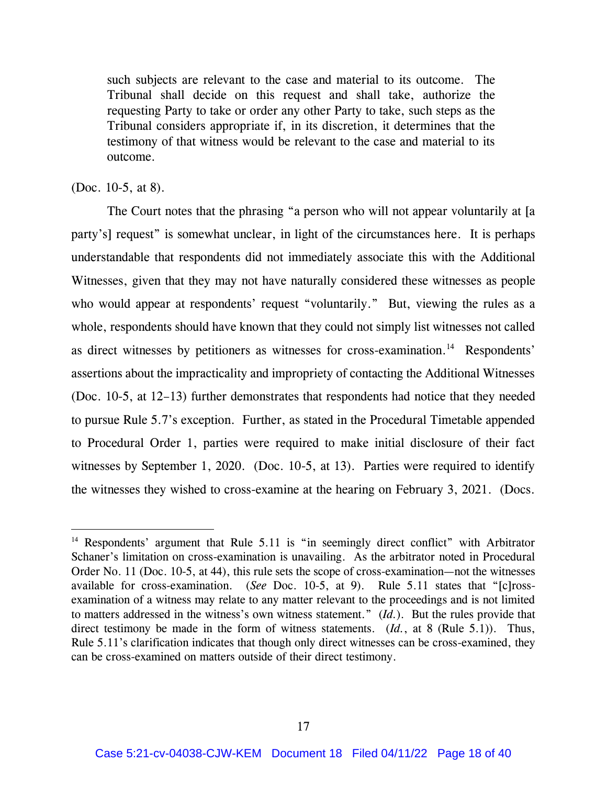such subjects are relevant to the case and material to its outcome. The Tribunal shall decide on this request and shall take, authorize the requesting Party to take or order any other Party to take, such steps as the Tribunal considers appropriate if, in its discretion, it determines that the testimony of that witness would be relevant to the case and material to its outcome.

### (Doc. 10-5, at 8).

The Court notes that the phrasing "a person who will not appear voluntarily at [a party's] request" is somewhat unclear, in light of the circumstances here. It is perhaps understandable that respondents did not immediately associate this with the Additional Witnesses, given that they may not have naturally considered these witnesses as people who would appear at respondents' request "voluntarily." But, viewing the rules as a whole, respondents should have known that they could not simply list witnesses not called as direct witnesses by petitioners as witnesses for cross-examination.<sup>14</sup> Respondents' assertions about the impracticality and impropriety of contacting the Additional Witnesses (Doc. 10-5, at 12–13) further demonstrates that respondents had notice that they needed to pursue Rule 5.7's exception. Further, as stated in the Procedural Timetable appended to Procedural Order 1, parties were required to make initial disclosure of their fact witnesses by September 1, 2020. (Doc. 10-5, at 13). Parties were required to identify the witnesses they wished to cross-examine at the hearing on February 3, 2021. (Docs.

<sup>&</sup>lt;sup>14</sup> Respondents' argument that Rule 5.11 is "in seemingly direct conflict" with Arbitrator Schaner's limitation on cross-examination is unavailing. As the arbitrator noted in Procedural Order No. 11 (Doc. 10-5, at 44), this rule sets the scope of cross-examination—not the witnesses available for cross-examination. (*See* Doc. 10-5, at 9). Rule 5.11 states that "[c]rossexamination of a witness may relate to any matter relevant to the proceedings and is not limited to matters addressed in the witness's own witness statement." (*Id.*). But the rules provide that direct testimony be made in the form of witness statements. (*Id.*, at 8 (Rule 5.1)). Thus, Rule 5.11's clarification indicates that though only direct witnesses can be cross-examined, they can be cross-examined on matters outside of their direct testimony.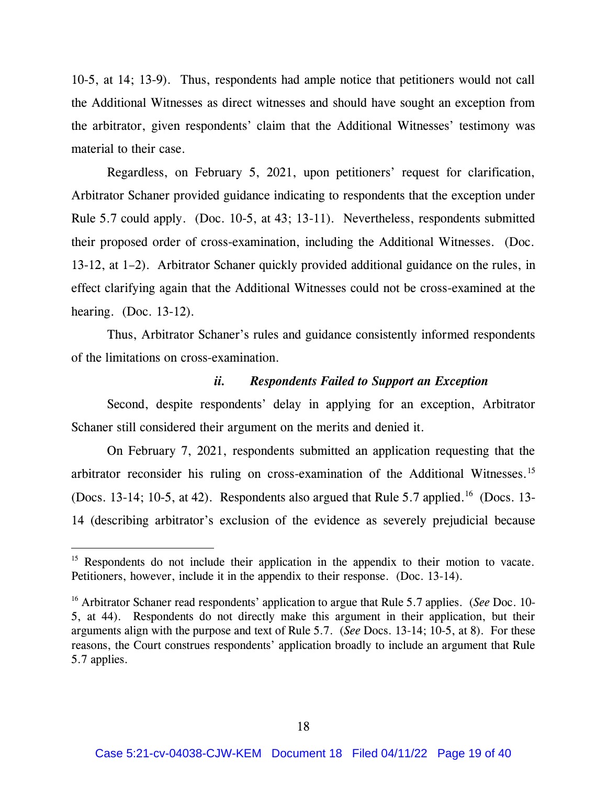10-5, at 14; 13-9). Thus, respondents had ample notice that petitioners would not call the Additional Witnesses as direct witnesses and should have sought an exception from the arbitrator, given respondents' claim that the Additional Witnesses' testimony was material to their case.

Regardless, on February 5, 2021, upon petitioners' request for clarification, Arbitrator Schaner provided guidance indicating to respondents that the exception under Rule 5.7 could apply. (Doc. 10-5, at 43; 13-11). Nevertheless, respondents submitted their proposed order of cross-examination, including the Additional Witnesses. (Doc. 13-12, at 1–2). Arbitrator Schaner quickly provided additional guidance on the rules, in effect clarifying again that the Additional Witnesses could not be cross-examined at the hearing. (Doc. 13-12).

Thus, Arbitrator Schaner's rules and guidance consistently informed respondents of the limitations on cross-examination.

### *ii. Respondents Failed to Support an Exception*

Second, despite respondents' delay in applying for an exception, Arbitrator Schaner still considered their argument on the merits and denied it.

On February 7, 2021, respondents submitted an application requesting that the arbitrator reconsider his ruling on cross-examination of the Additional Witnesses.<sup>15</sup> (Docs. 13-14; 10-5, at 42). Respondents also argued that Rule 5.7 applied.<sup>16</sup> (Docs. 13-14 (describing arbitrator's exclusion of the evidence as severely prejudicial because

<sup>&</sup>lt;sup>15</sup> Respondents do not include their application in the appendix to their motion to vacate. Petitioners, however, include it in the appendix to their response. (Doc. 13-14).

<sup>16</sup> Arbitrator Schaner read respondents' application to argue that Rule 5.7 applies. (*See* Doc. 10- 5, at 44). Respondents do not directly make this argument in their application, but their arguments align with the purpose and text of Rule 5.7. (*See* Docs. 13-14; 10-5, at 8). For these reasons, the Court construes respondents' application broadly to include an argument that Rule 5.7 applies.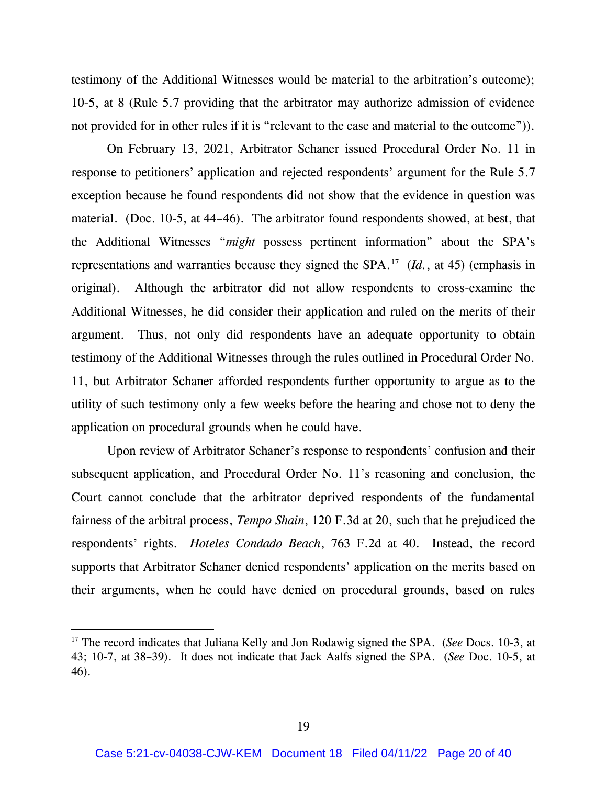testimony of the Additional Witnesses would be material to the arbitration's outcome); 10-5, at 8 (Rule 5.7 providing that the arbitrator may authorize admission of evidence not provided for in other rules if it is "relevant to the case and material to the outcome")).

On February 13, 2021, Arbitrator Schaner issued Procedural Order No. 11 in response to petitioners' application and rejected respondents' argument for the Rule 5.7 exception because he found respondents did not show that the evidence in question was material. (Doc. 10-5, at 44–46). The arbitrator found respondents showed, at best, that the Additional Witnesses "*might* possess pertinent information" about the SPA's representations and warranties because they signed the SPA.<sup>17</sup> (*Id.*, at 45) (emphasis in original). Although the arbitrator did not allow respondents to cross-examine the Additional Witnesses, he did consider their application and ruled on the merits of their argument. Thus, not only did respondents have an adequate opportunity to obtain testimony of the Additional Witnesses through the rules outlined in Procedural Order No. 11, but Arbitrator Schaner afforded respondents further opportunity to argue as to the utility of such testimony only a few weeks before the hearing and chose not to deny the application on procedural grounds when he could have.

Upon review of Arbitrator Schaner's response to respondents' confusion and their subsequent application, and Procedural Order No. 11's reasoning and conclusion, the Court cannot conclude that the arbitrator deprived respondents of the fundamental fairness of the arbitral process, *Tempo Shain*, 120 F.3d at 20, such that he prejudiced the respondents' rights. *Hoteles Condado Beach*, 763 F.2d at 40. Instead, the record supports that Arbitrator Schaner denied respondents' application on the merits based on their arguments, when he could have denied on procedural grounds, based on rules

<sup>17</sup> The record indicates that Juliana Kelly and Jon Rodawig signed the SPA. (*See* Docs. 10-3, at 43; 10-7, at 38–39). It does not indicate that Jack Aalfs signed the SPA. (*See* Doc. 10-5, at 46).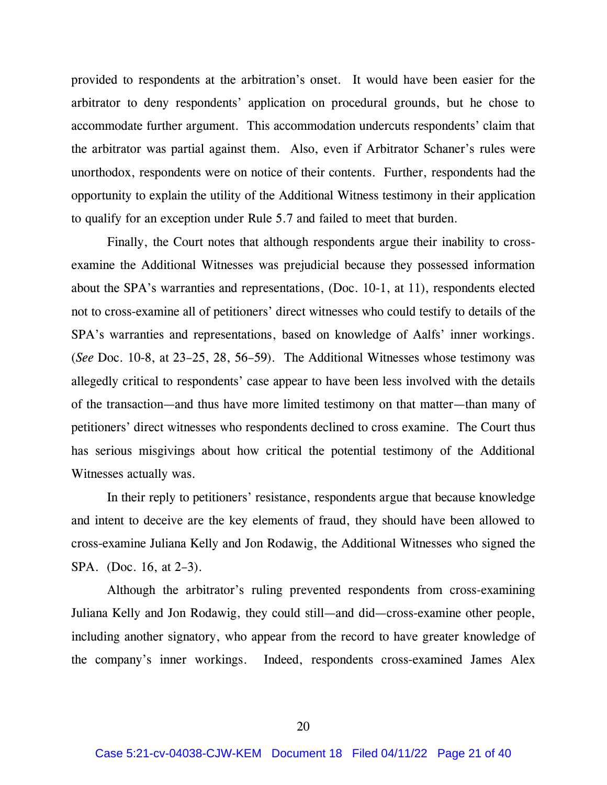provided to respondents at the arbitration's onset. It would have been easier for the arbitrator to deny respondents' application on procedural grounds, but he chose to accommodate further argument. This accommodation undercuts respondents' claim that the arbitrator was partial against them. Also, even if Arbitrator Schaner's rules were unorthodox, respondents were on notice of their contents. Further, respondents had the opportunity to explain the utility of the Additional Witness testimony in their application to qualify for an exception under Rule 5.7 and failed to meet that burden.

Finally, the Court notes that although respondents argue their inability to crossexamine the Additional Witnesses was prejudicial because they possessed information about the SPA's warranties and representations, (Doc. 10-1, at 11), respondents elected not to cross-examine all of petitioners' direct witnesses who could testify to details of the SPA's warranties and representations, based on knowledge of Aalfs' inner workings. (*See* Doc. 10-8, at 23–25, 28, 56–59). The Additional Witnesses whose testimony was allegedly critical to respondents' case appear to have been less involved with the details of the transaction—and thus have more limited testimony on that matter—than many of petitioners' direct witnesses who respondents declined to cross examine. The Court thus has serious misgivings about how critical the potential testimony of the Additional Witnesses actually was.

In their reply to petitioners' resistance, respondents argue that because knowledge and intent to deceive are the key elements of fraud, they should have been allowed to cross-examine Juliana Kelly and Jon Rodawig, the Additional Witnesses who signed the SPA. (Doc. 16, at 2-3).

Although the arbitrator's ruling prevented respondents from cross-examining Juliana Kelly and Jon Rodawig, they could still—and did—cross-examine other people, including another signatory, who appear from the record to have greater knowledge of the company's inner workings. Indeed, respondents cross-examined James Alex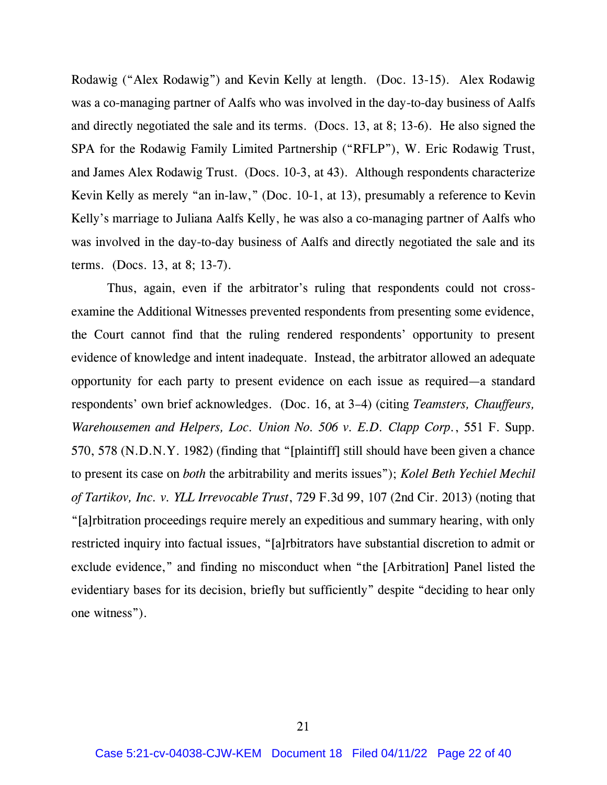Rodawig ("Alex Rodawig") and Kevin Kelly at length. (Doc. 13-15). Alex Rodawig was a co-managing partner of Aalfs who was involved in the day-to-day business of Aalfs and directly negotiated the sale and its terms. (Docs. 13, at 8; 13-6). He also signed the SPA for the Rodawig Family Limited Partnership ("RFLP"), W. Eric Rodawig Trust, and James Alex Rodawig Trust. (Docs. 10-3, at 43). Although respondents characterize Kevin Kelly as merely "an in-law," (Doc. 10-1, at 13), presumably a reference to Kevin Kelly's marriage to Juliana Aalfs Kelly, he was also a co-managing partner of Aalfs who was involved in the day-to-day business of Aalfs and directly negotiated the sale and its terms. (Docs. 13, at 8; 13-7).

Thus, again, even if the arbitrator's ruling that respondents could not crossexamine the Additional Witnesses prevented respondents from presenting some evidence, the Court cannot find that the ruling rendered respondents' opportunity to present evidence of knowledge and intent inadequate. Instead, the arbitrator allowed an adequate opportunity for each party to present evidence on each issue as required—a standard respondents' own brief acknowledges. (Doc. 16, at 3–4) (citing *Teamsters, Chauffeurs, Warehousemen and Helpers, Loc. Union No. 506 v. E.D. Clapp Corp.*, 551 F. Supp. 570, 578 (N.D.N.Y. 1982) (finding that "[plaintiff] still should have been given a chance to present its case on *both* the arbitrability and merits issues"); *Kolel Beth Yechiel Mechil of Tartikov, Inc. v. YLL Irrevocable Trust*, 729 F.3d 99, 107 (2nd Cir. 2013) (noting that "[a]rbitration proceedings require merely an expeditious and summary hearing, with only restricted inquiry into factual issues, "[a]rbitrators have substantial discretion to admit or exclude evidence," and finding no misconduct when "the [Arbitration] Panel listed the evidentiary bases for its decision, briefly but sufficiently" despite "deciding to hear only one witness").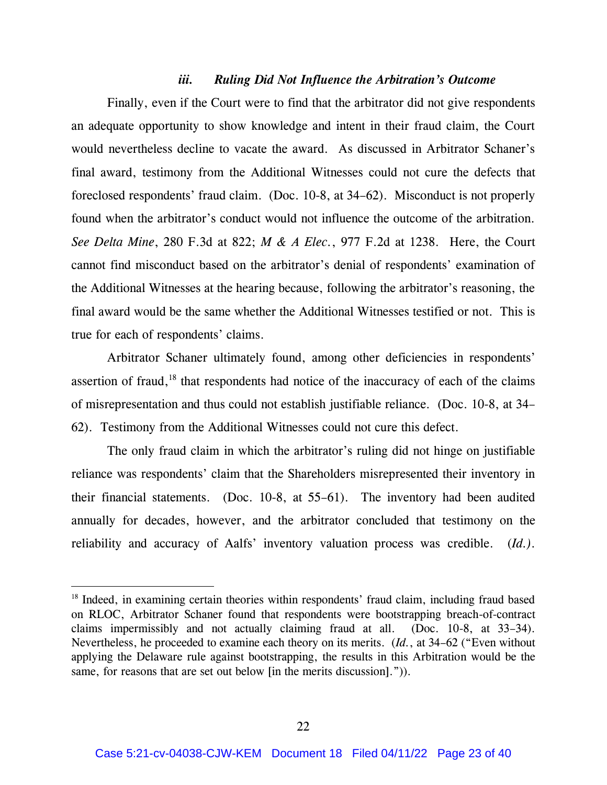#### *iii. Ruling Did Not Influence the Arbitration's Outcome*

Finally, even if the Court were to find that the arbitrator did not give respondents an adequate opportunity to show knowledge and intent in their fraud claim, the Court would nevertheless decline to vacate the award. As discussed in Arbitrator Schaner's final award, testimony from the Additional Witnesses could not cure the defects that foreclosed respondents' fraud claim. (Doc. 10-8, at 34–62). Misconduct is not properly found when the arbitrator's conduct would not influence the outcome of the arbitration. *See Delta Mine*, 280 F.3d at 822; *M & A Elec.*, 977 F.2d at 1238. Here, the Court cannot find misconduct based on the arbitrator's denial of respondents' examination of the Additional Witnesses at the hearing because, following the arbitrator's reasoning, the final award would be the same whether the Additional Witnesses testified or not. This is true for each of respondents' claims.

Arbitrator Schaner ultimately found, among other deficiencies in respondents' assertion of fraud,<sup>18</sup> that respondents had notice of the inaccuracy of each of the claims of misrepresentation and thus could not establish justifiable reliance. (Doc. 10-8, at 34– 62). Testimony from the Additional Witnesses could not cure this defect.

The only fraud claim in which the arbitrator's ruling did not hinge on justifiable reliance was respondents' claim that the Shareholders misrepresented their inventory in their financial statements. (Doc. 10-8, at 55–61). The inventory had been audited annually for decades, however, and the arbitrator concluded that testimony on the reliability and accuracy of Aalfs' inventory valuation process was credible. (*Id.)*.

 $18$  Indeed, in examining certain theories within respondents' fraud claim, including fraud based on RLOC, Arbitrator Schaner found that respondents were bootstrapping breach-of-contract claims impermissibly and not actually claiming fraud at all. (Doc. 10-8, at 33–34). Nevertheless, he proceeded to examine each theory on its merits. (*Id.*, at 34–62 ("Even without applying the Delaware rule against bootstrapping, the results in this Arbitration would be the same, for reasons that are set out below [in the merits discussion].")).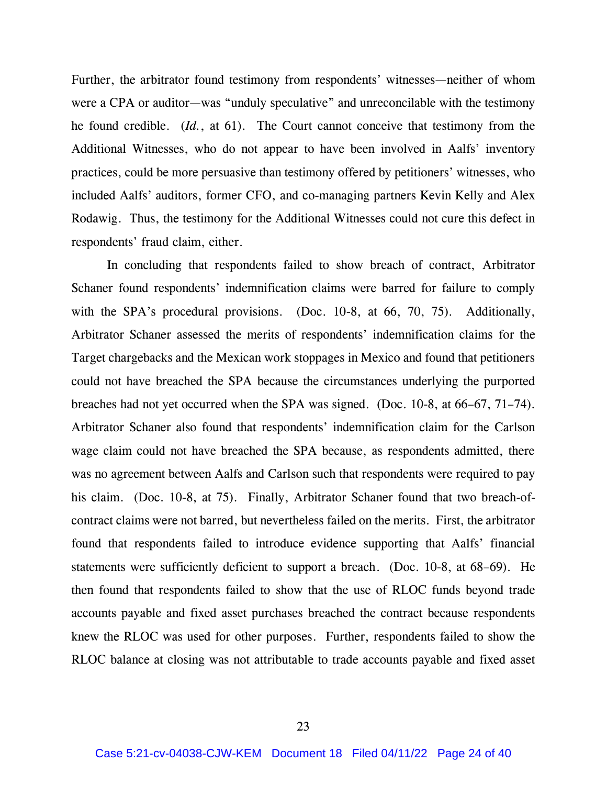Further, the arbitrator found testimony from respondents' witnesses—neither of whom were a CPA or auditor—was "unduly speculative" and unreconcilable with the testimony he found credible. (*Id.*, at 61). The Court cannot conceive that testimony from the Additional Witnesses, who do not appear to have been involved in Aalfs' inventory practices, could be more persuasive than testimony offered by petitioners' witnesses, who included Aalfs' auditors, former CFO, and co-managing partners Kevin Kelly and Alex Rodawig. Thus, the testimony for the Additional Witnesses could not cure this defect in respondents' fraud claim, either.

In concluding that respondents failed to show breach of contract, Arbitrator Schaner found respondents' indemnification claims were barred for failure to comply with the SPA's procedural provisions. (Doc. 10-8, at 66, 70, 75). Additionally, Arbitrator Schaner assessed the merits of respondents' indemnification claims for the Target chargebacks and the Mexican work stoppages in Mexico and found that petitioners could not have breached the SPA because the circumstances underlying the purported breaches had not yet occurred when the SPA was signed. (Doc. 10-8, at 66–67, 71–74). Arbitrator Schaner also found that respondents' indemnification claim for the Carlson wage claim could not have breached the SPA because, as respondents admitted, there was no agreement between Aalfs and Carlson such that respondents were required to pay his claim. (Doc. 10-8, at 75). Finally, Arbitrator Schaner found that two breach-ofcontract claims were not barred, but nevertheless failed on the merits. First, the arbitrator found that respondents failed to introduce evidence supporting that Aalfs' financial statements were sufficiently deficient to support a breach. (Doc. 10-8, at 68–69). He then found that respondents failed to show that the use of RLOC funds beyond trade accounts payable and fixed asset purchases breached the contract because respondents knew the RLOC was used for other purposes. Further, respondents failed to show the RLOC balance at closing was not attributable to trade accounts payable and fixed asset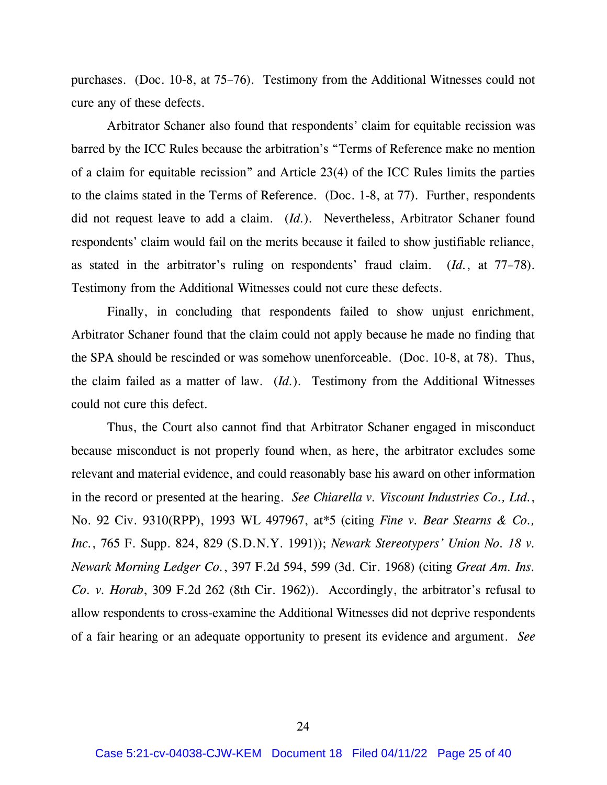purchases. (Doc. 10-8, at 75–76). Testimony from the Additional Witnesses could not cure any of these defects.

Arbitrator Schaner also found that respondents' claim for equitable recission was barred by the ICC Rules because the arbitration's "Terms of Reference make no mention of a claim for equitable recission" and Article 23(4) of the ICC Rules limits the parties to the claims stated in the Terms of Reference. (Doc. 1-8, at 77). Further, respondents did not request leave to add a claim. (*Id.*). Nevertheless, Arbitrator Schaner found respondents' claim would fail on the merits because it failed to show justifiable reliance, as stated in the arbitrator's ruling on respondents' fraud claim. (*Id.*, at 77–78). Testimony from the Additional Witnesses could not cure these defects.

Finally, in concluding that respondents failed to show unjust enrichment, Arbitrator Schaner found that the claim could not apply because he made no finding that the SPA should be rescinded or was somehow unenforceable. (Doc. 10-8, at 78). Thus, the claim failed as a matter of law. (*Id.*). Testimony from the Additional Witnesses could not cure this defect.

Thus, the Court also cannot find that Arbitrator Schaner engaged in misconduct because misconduct is not properly found when, as here, the arbitrator excludes some relevant and material evidence, and could reasonably base his award on other information in the record or presented at the hearing. *See Chiarella v. Viscount Industries Co., Ltd.*, No. 92 Civ. 9310(RPP), 1993 WL 497967, at\*5 (citing *Fine v. Bear Stearns & Co., Inc.*, 765 F. Supp. 824, 829 (S.D.N.Y. 1991)); *Newark Stereotypers' Union No. 18 v. Newark Morning Ledger Co.*, 397 F.2d 594, 599 (3d. Cir. 1968) (citing *Great Am. Ins. Co. v. Horab*, 309 F.2d 262 (8th Cir. 1962)). Accordingly, the arbitrator's refusal to allow respondents to cross-examine the Additional Witnesses did not deprive respondents of a fair hearing or an adequate opportunity to present its evidence and argument. *See*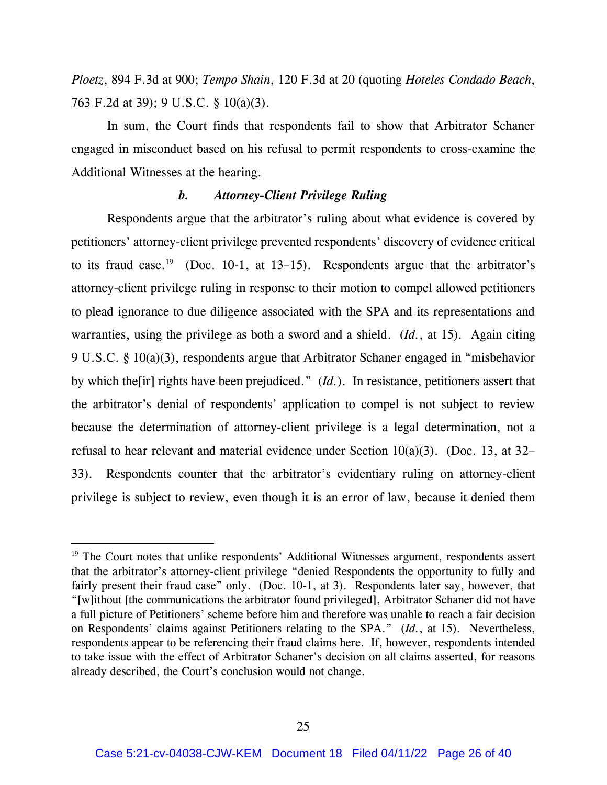*Ploetz*, 894 F.3d at 900; *Tempo Shain*, 120 F.3d at 20 (quoting *Hoteles Condado Beach*, 763 F.2d at 39); 9 U.S.C. § 10(a)(3).

In sum, the Court finds that respondents fail to show that Arbitrator Schaner engaged in misconduct based on his refusal to permit respondents to cross-examine the Additional Witnesses at the hearing.

### *b. Attorney-Client Privilege Ruling*

Respondents argue that the arbitrator's ruling about what evidence is covered by petitioners' attorney-client privilege prevented respondents' discovery of evidence critical to its fraud case.<sup>19</sup> (Doc. 10-1, at 13–15). Respondents argue that the arbitrator's attorney-client privilege ruling in response to their motion to compel allowed petitioners to plead ignorance to due diligence associated with the SPA and its representations and warranties, using the privilege as both a sword and a shield. (*Id.*, at 15). Again citing 9 U.S.C. § 10(a)(3), respondents argue that Arbitrator Schaner engaged in "misbehavior by which the[ir] rights have been prejudiced." (*Id.*). In resistance, petitioners assert that the arbitrator's denial of respondents' application to compel is not subject to review because the determination of attorney-client privilege is a legal determination, not a refusal to hear relevant and material evidence under Section 10(a)(3). (Doc. 13, at 32– 33). Respondents counter that the arbitrator's evidentiary ruling on attorney-client privilege is subject to review, even though it is an error of law, because it denied them

<sup>&</sup>lt;sup>19</sup> The Court notes that unlike respondents' Additional Witnesses argument, respondents assert that the arbitrator's attorney-client privilege "denied Respondents the opportunity to fully and fairly present their fraud case" only. (Doc. 10-1, at 3). Respondents later say, however, that "[w]ithout [the communications the arbitrator found privileged], Arbitrator Schaner did not have a full picture of Petitioners' scheme before him and therefore was unable to reach a fair decision on Respondents' claims against Petitioners relating to the SPA." (*Id.*, at 15). Nevertheless, respondents appear to be referencing their fraud claims here. If, however, respondents intended to take issue with the effect of Arbitrator Schaner's decision on all claims asserted, for reasons already described, the Court's conclusion would not change.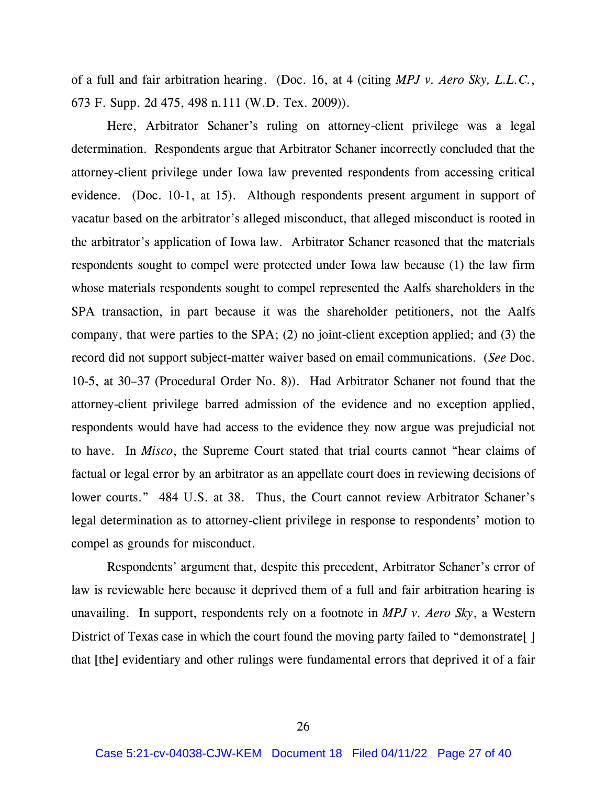of a full and fair arbitration hearing. (Doc. 16, at 4 (citing *MPJ v. Aero Sky, L.L.C.*, 673 F. Supp. 2d 475, 498 n.111 (W.D. Tex. 2009)).

Here, Arbitrator Schaner's ruling on attorney-client privilege was a legal determination. Respondents argue that Arbitrator Schaner incorrectly concluded that the attorney-client privilege under Iowa law prevented respondents from accessing critical evidence. (Doc. 10-1, at 15). Although respondents present argument in support of vacatur based on the arbitrator's alleged misconduct, that alleged misconduct is rooted in the arbitrator's application of Iowa law. Arbitrator Schaner reasoned that the materials respondents sought to compel were protected under Iowa law because (1) the law firm whose materials respondents sought to compel represented the Aalfs shareholders in the SPA transaction, in part because it was the shareholder petitioners, not the Aalfs company, that were parties to the SPA; (2) no joint-client exception applied; and (3) the record did not support subject-matter waiver based on email communications. (*See* Doc. 10-5, at 30–37 (Procedural Order No. 8)). Had Arbitrator Schaner not found that the attorney-client privilege barred admission of the evidence and no exception applied, respondents would have had access to the evidence they now argue was prejudicial not to have. In *Misco*, the Supreme Court stated that trial courts cannot "hear claims of factual or legal error by an arbitrator as an appellate court does in reviewing decisions of lower courts." 484 U.S. at 38. Thus, the Court cannot review Arbitrator Schaner's legal determination as to attorney-client privilege in response to respondents' motion to compel as grounds for misconduct.

Respondents' argument that, despite this precedent, Arbitrator Schaner's error of law is reviewable here because it deprived them of a full and fair arbitration hearing is unavailing. In support, respondents rely on a footnote in *MPJ v. Aero Sky*, a Western District of Texas case in which the court found the moving party failed to "demonstrate[] that [the] evidentiary and other rulings were fundamental errors that deprived it of a fair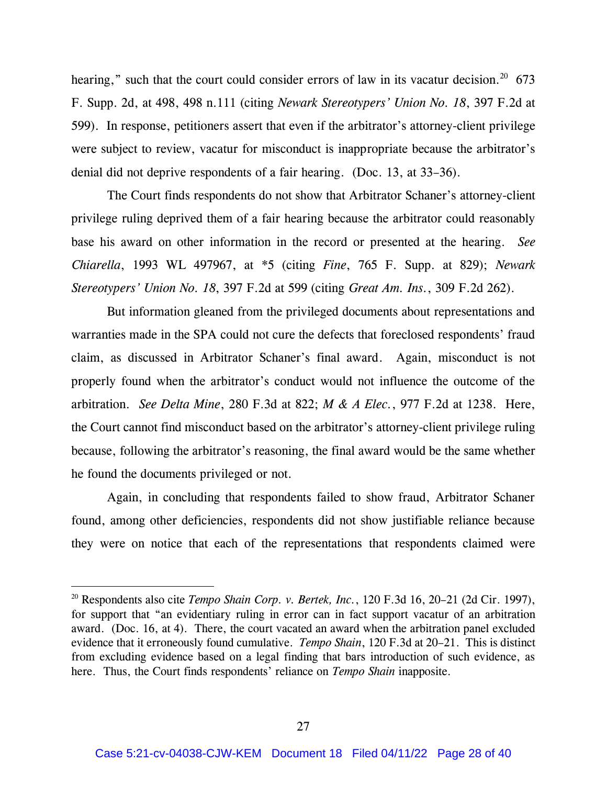hearing," such that the court could consider errors of law in its vacatur decision.<sup>20</sup> 673 F. Supp. 2d, at 498, 498 n.111 (citing *Newark Stereotypers' Union No. 18*, 397 F.2d at 599). In response, petitioners assert that even if the arbitrator's attorney-client privilege were subject to review, vacatur for misconduct is inappropriate because the arbitrator's denial did not deprive respondents of a fair hearing. (Doc. 13, at 33–36).

The Court finds respondents do not show that Arbitrator Schaner's attorney-client privilege ruling deprived them of a fair hearing because the arbitrator could reasonably base his award on other information in the record or presented at the hearing. *See Chiarella*, 1993 WL 497967, at \*5 (citing *Fine*, 765 F. Supp. at 829); *Newark Stereotypers' Union No. 18*, 397 F.2d at 599 (citing *Great Am. Ins.*, 309 F.2d 262).

But information gleaned from the privileged documents about representations and warranties made in the SPA could not cure the defects that foreclosed respondents' fraud claim, as discussed in Arbitrator Schaner's final award. Again, misconduct is not properly found when the arbitrator's conduct would not influence the outcome of the arbitration. *See Delta Mine*, 280 F.3d at 822; *M & A Elec.*, 977 F.2d at 1238. Here, the Court cannot find misconduct based on the arbitrator's attorney-client privilege ruling because, following the arbitrator's reasoning, the final award would be the same whether he found the documents privileged or not.

Again, in concluding that respondents failed to show fraud, Arbitrator Schaner found, among other deficiencies, respondents did not show justifiable reliance because they were on notice that each of the representations that respondents claimed were

<sup>20</sup> Respondents also cite *Tempo Shain Corp. v. Bertek, Inc.*, 120 F.3d 16, 20–21 (2d Cir. 1997), for support that "an evidentiary ruling in error can in fact support vacatur of an arbitration award. (Doc. 16, at 4). There, the court vacated an award when the arbitration panel excluded evidence that it erroneously found cumulative. *Tempo Shain*, 120 F.3d at 20–21. This is distinct from excluding evidence based on a legal finding that bars introduction of such evidence, as here. Thus, the Court finds respondents' reliance on *Tempo Shain* inapposite.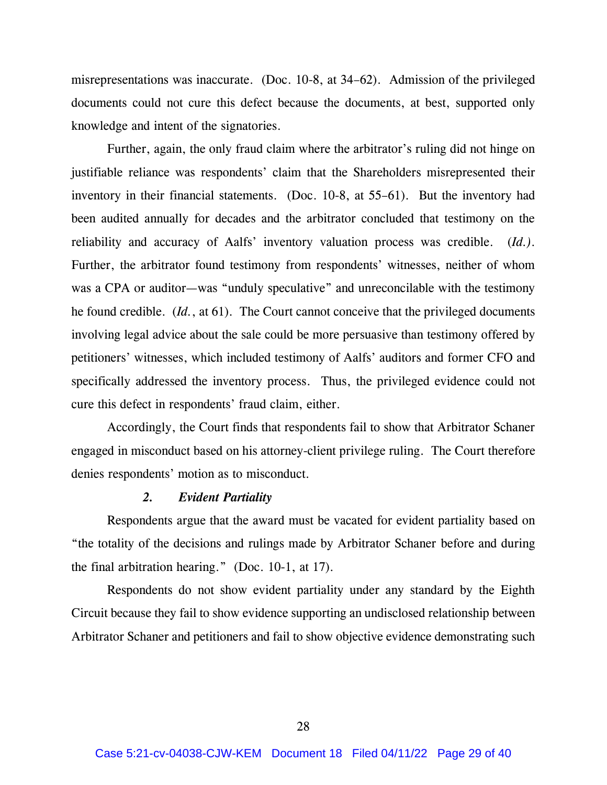misrepresentations was inaccurate. (Doc. 10-8, at 34–62). Admission of the privileged documents could not cure this defect because the documents, at best, supported only knowledge and intent of the signatories.

Further, again, the only fraud claim where the arbitrator's ruling did not hinge on justifiable reliance was respondents' claim that the Shareholders misrepresented their inventory in their financial statements. (Doc. 10-8, at 55–61). But the inventory had been audited annually for decades and the arbitrator concluded that testimony on the reliability and accuracy of Aalfs' inventory valuation process was credible. (*Id.)*. Further, the arbitrator found testimony from respondents' witnesses, neither of whom was a CPA or auditor—was "unduly speculative" and unreconcilable with the testimony he found credible. (*Id.*, at 61). The Court cannot conceive that the privileged documents involving legal advice about the sale could be more persuasive than testimony offered by petitioners' witnesses, which included testimony of Aalfs' auditors and former CFO and specifically addressed the inventory process. Thus, the privileged evidence could not cure this defect in respondents' fraud claim, either.

Accordingly, the Court finds that respondents fail to show that Arbitrator Schaner engaged in misconduct based on his attorney-client privilege ruling. The Court therefore denies respondents' motion as to misconduct.

### *2. Evident Partiality*

Respondents argue that the award must be vacated for evident partiality based on "the totality of the decisions and rulings made by Arbitrator Schaner before and during the final arbitration hearing." (Doc. 10-1, at 17).

Respondents do not show evident partiality under any standard by the Eighth Circuit because they fail to show evidence supporting an undisclosed relationship between Arbitrator Schaner and petitioners and fail to show objective evidence demonstrating such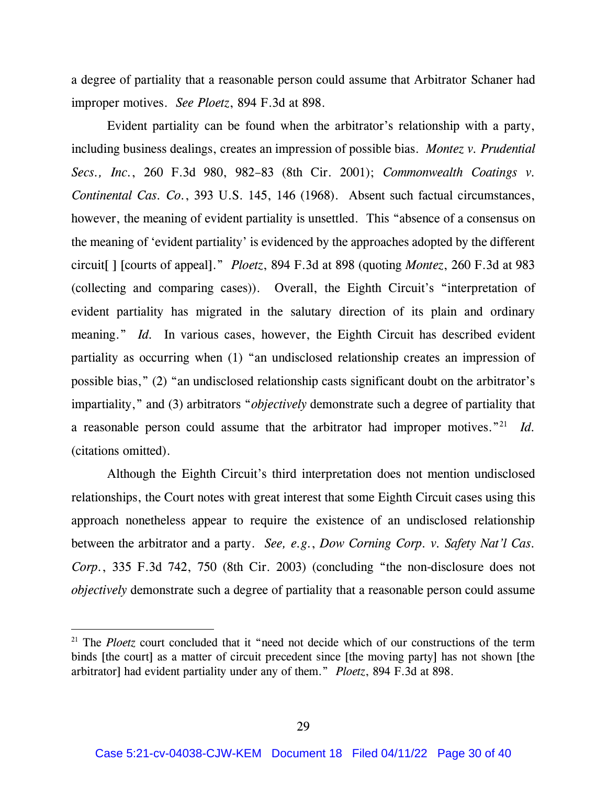a degree of partiality that a reasonable person could assume that Arbitrator Schaner had improper motives. *See Ploetz*, 894 F.3d at 898.

Evident partiality can be found when the arbitrator's relationship with a party, including business dealings, creates an impression of possible bias. *Montez v. Prudential Secs., Inc.*, 260 F.3d 980, 982–83 (8th Cir. 2001); *Commonwealth Coatings v. Continental Cas. Co.*, 393 U.S. 145, 146 (1968). Absent such factual circumstances, however, the meaning of evident partiality is unsettled. This "absence of a consensus on the meaning of 'evident partiality' is evidenced by the approaches adopted by the different circuit[ ] [courts of appeal]." *Ploetz*, 894 F.3d at 898 (quoting *Montez*, 260 F.3d at 983 (collecting and comparing cases)). Overall, the Eighth Circuit's "interpretation of evident partiality has migrated in the salutary direction of its plain and ordinary meaning." *Id.* In various cases, however, the Eighth Circuit has described evident partiality as occurring when (1) "an undisclosed relationship creates an impression of possible bias," (2) "an undisclosed relationship casts significant doubt on the arbitrator's impartiality," and (3) arbitrators "*objectively* demonstrate such a degree of partiality that a reasonable person could assume that the arbitrator had improper motives.<sup>"21</sup> *Id*. (citations omitted).

Although the Eighth Circuit's third interpretation does not mention undisclosed relationships, the Court notes with great interest that some Eighth Circuit cases using this approach nonetheless appear to require the existence of an undisclosed relationship between the arbitrator and a party. *See, e.g.*, *Dow Corning Corp. v. Safety Nat'l Cas. Corp.*, 335 F.3d 742, 750 (8th Cir. 2003) (concluding "the non-disclosure does not *objectively* demonstrate such a degree of partiality that a reasonable person could assume

<sup>&</sup>lt;sup>21</sup> The *Ploetz* court concluded that it "need not decide which of our constructions of the term binds [the court] as a matter of circuit precedent since [the moving party] has not shown [the arbitrator] had evident partiality under any of them." *Ploetz*, 894 F.3d at 898.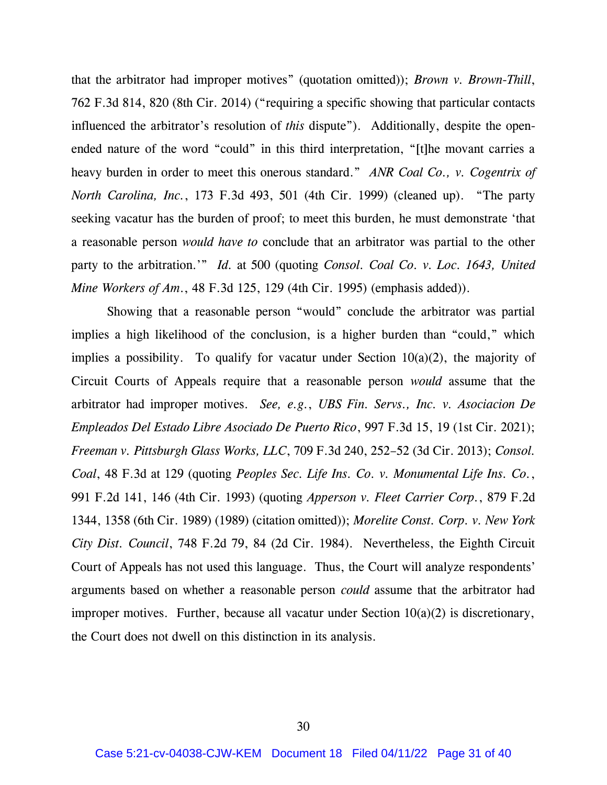that the arbitrator had improper motives" (quotation omitted)); *Brown v. Brown-Thill*, 762 F.3d 814, 820 (8th Cir. 2014) ("requiring a specific showing that particular contacts influenced the arbitrator's resolution of *this* dispute"). Additionally, despite the openended nature of the word "could" in this third interpretation, "[t]he movant carries a heavy burden in order to meet this onerous standard." *ANR Coal Co., v. Cogentrix of North Carolina, Inc.*, 173 F.3d 493, 501 (4th Cir. 1999) (cleaned up). "The party seeking vacatur has the burden of proof; to meet this burden, he must demonstrate 'that a reasonable person *would have to* conclude that an arbitrator was partial to the other party to the arbitration.'" *Id.* at 500 (quoting *Consol. Coal Co. v. Loc. 1643, United Mine Workers of Am*., 48 F.3d 125, 129 (4th Cir. 1995) (emphasis added)).

Showing that a reasonable person "would" conclude the arbitrator was partial implies a high likelihood of the conclusion, is a higher burden than "could," which implies a possibility. To qualify for vacatur under Section  $10(a)(2)$ , the majority of Circuit Courts of Appeals require that a reasonable person *would* assume that the arbitrator had improper motives. *See, e.g.*, *UBS Fin. Servs., Inc. v. Asociacion De Empleados Del Estado Libre Asociado De Puerto Rico*, 997 F.3d 15, 19 (1st Cir. 2021); *Freeman v. Pittsburgh Glass Works, LLC*, 709 F.3d 240, 252–52 (3d Cir. 2013); *Consol. Coal*, 48 F.3d at 129 (quoting *Peoples Sec. Life Ins. Co. v. Monumental Life Ins. Co.*, 991 F.2d 141, 146 (4th Cir. 1993) (quoting *Apperson v. Fleet Carrier Corp.*, 879 F.2d 1344, 1358 (6th Cir. 1989) (1989) (citation omitted)); *Morelite Const. Corp. v. New York City Dist. Council*, 748 F.2d 79, 84 (2d Cir. 1984). Nevertheless, the Eighth Circuit Court of Appeals has not used this language. Thus, the Court will analyze respondents' arguments based on whether a reasonable person *could* assume that the arbitrator had improper motives. Further, because all vacatur under Section 10(a)(2) is discretionary, the Court does not dwell on this distinction in its analysis.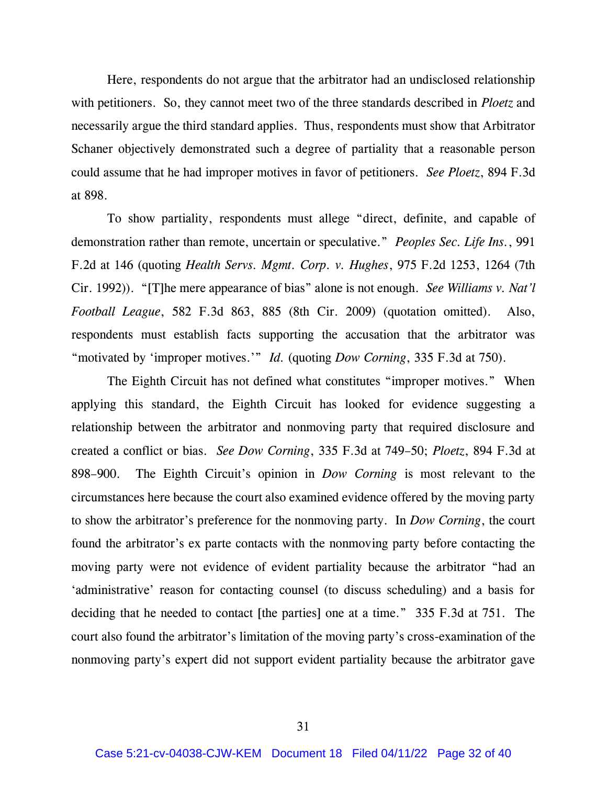Here, respondents do not argue that the arbitrator had an undisclosed relationship with petitioners. So, they cannot meet two of the three standards described in *Ploetz* and necessarily argue the third standard applies. Thus, respondents must show that Arbitrator Schaner objectively demonstrated such a degree of partiality that a reasonable person could assume that he had improper motives in favor of petitioners. *See Ploetz*, 894 F.3d at 898.

To show partiality, respondents must allege "direct, definite, and capable of demonstration rather than remote, uncertain or speculative." *Peoples Sec. Life Ins.*, 991 F.2d at 146 (quoting *Health Servs. Mgmt. Corp. v. Hughes*, 975 F.2d 1253, 1264 (7th Cir. 1992)). "[T]he mere appearance of bias" alone is not enough. *See Williams v. Nat'l Football League*, 582 F.3d 863, 885 (8th Cir. 2009) (quotation omitted). Also, respondents must establish facts supporting the accusation that the arbitrator was "motivated by 'improper motives.'" *Id.* (quoting *Dow Corning*, 335 F.3d at 750).

The Eighth Circuit has not defined what constitutes "improper motives." When applying this standard, the Eighth Circuit has looked for evidence suggesting a relationship between the arbitrator and nonmoving party that required disclosure and created a conflict or bias. *See Dow Corning*, 335 F.3d at 749–50; *Ploetz*, 894 F.3d at 898–900. The Eighth Circuit's opinion in *Dow Corning* is most relevant to the circumstances here because the court also examined evidence offered by the moving party to show the arbitrator's preference for the nonmoving party. In *Dow Corning*, the court found the arbitrator's ex parte contacts with the nonmoving party before contacting the moving party were not evidence of evident partiality because the arbitrator "had an 'administrative' reason for contacting counsel (to discuss scheduling) and a basis for deciding that he needed to contact [the parties] one at a time." 335 F.3d at 751. The court also found the arbitrator's limitation of the moving party's cross-examination of the nonmoving party's expert did not support evident partiality because the arbitrator gave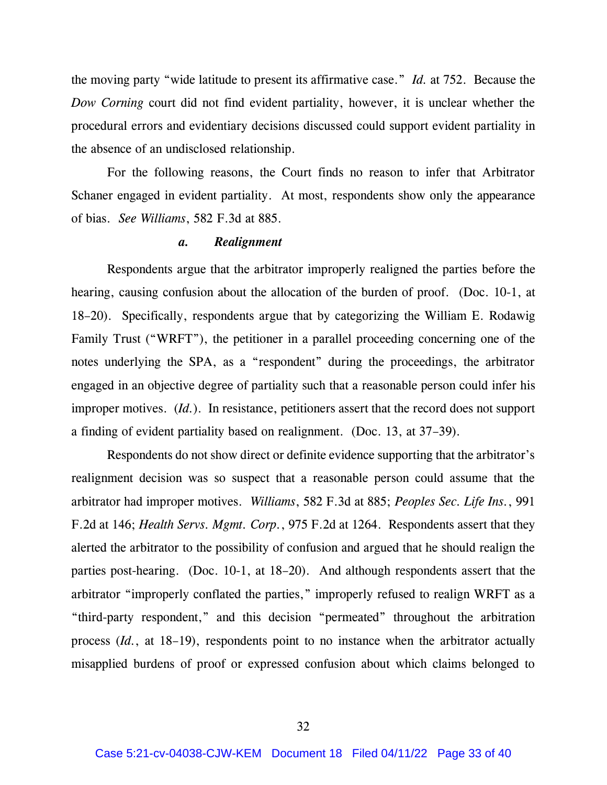the moving party "wide latitude to present its affirmative case." *Id.* at 752. Because the *Dow Corning* court did not find evident partiality, however, it is unclear whether the procedural errors and evidentiary decisions discussed could support evident partiality in the absence of an undisclosed relationship.

For the following reasons, the Court finds no reason to infer that Arbitrator Schaner engaged in evident partiality. At most, respondents show only the appearance of bias. *See Williams*, 582 F.3d at 885.

#### *a. Realignment*

Respondents argue that the arbitrator improperly realigned the parties before the hearing, causing confusion about the allocation of the burden of proof. (Doc. 10-1, at 18–20). Specifically, respondents argue that by categorizing the William E. Rodawig Family Trust ("WRFT"), the petitioner in a parallel proceeding concerning one of the notes underlying the SPA, as a "respondent" during the proceedings, the arbitrator engaged in an objective degree of partiality such that a reasonable person could infer his improper motives. (*Id.*). In resistance, petitioners assert that the record does not support a finding of evident partiality based on realignment. (Doc. 13, at 37–39).

Respondents do not show direct or definite evidence supporting that the arbitrator's realignment decision was so suspect that a reasonable person could assume that the arbitrator had improper motives. *Williams*, 582 F.3d at 885; *Peoples Sec. Life Ins.*, 991 F.2d at 146; *Health Servs. Mgmt. Corp.*, 975 F.2d at 1264. Respondents assert that they alerted the arbitrator to the possibility of confusion and argued that he should realign the parties post-hearing. (Doc. 10-1, at 18–20). And although respondents assert that the arbitrator "improperly conflated the parties," improperly refused to realign WRFT as a "third-party respondent," and this decision "permeated" throughout the arbitration process (*Id.*, at 18–19), respondents point to no instance when the arbitrator actually misapplied burdens of proof or expressed confusion about which claims belonged to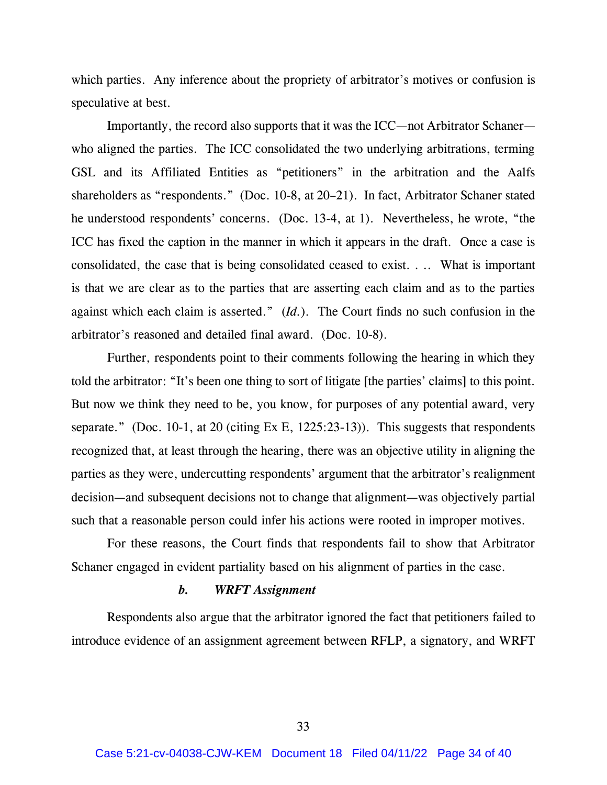which parties. Any inference about the propriety of arbitrator's motives or confusion is speculative at best.

Importantly, the record also supports that it was the ICC—not Arbitrator Schaner who aligned the parties. The ICC consolidated the two underlying arbitrations, terming GSL and its Affiliated Entities as "petitioners" in the arbitration and the Aalfs shareholders as "respondents." (Doc. 10-8, at 20–21). In fact, Arbitrator Schaner stated he understood respondents' concerns. (Doc. 13-4, at 1). Nevertheless, he wrote, "the ICC has fixed the caption in the manner in which it appears in the draft. Once a case is consolidated, the case that is being consolidated ceased to exist. . .. What is important is that we are clear as to the parties that are asserting each claim and as to the parties against which each claim is asserted." (*Id.*). The Court finds no such confusion in the arbitrator's reasoned and detailed final award. (Doc. 10-8).

Further, respondents point to their comments following the hearing in which they told the arbitrator: "It's been one thing to sort of litigate [the parties' claims] to this point. But now we think they need to be, you know, for purposes of any potential award, very separate." (Doc. 10-1, at 20 (citing Ex E, 1225:23-13)). This suggests that respondents recognized that, at least through the hearing, there was an objective utility in aligning the parties as they were, undercutting respondents' argument that the arbitrator's realignment decision—and subsequent decisions not to change that alignment—was objectively partial such that a reasonable person could infer his actions were rooted in improper motives.

For these reasons, the Court finds that respondents fail to show that Arbitrator Schaner engaged in evident partiality based on his alignment of parties in the case.

#### *b. WRFT Assignment*

Respondents also argue that the arbitrator ignored the fact that petitioners failed to introduce evidence of an assignment agreement between RFLP, a signatory, and WRFT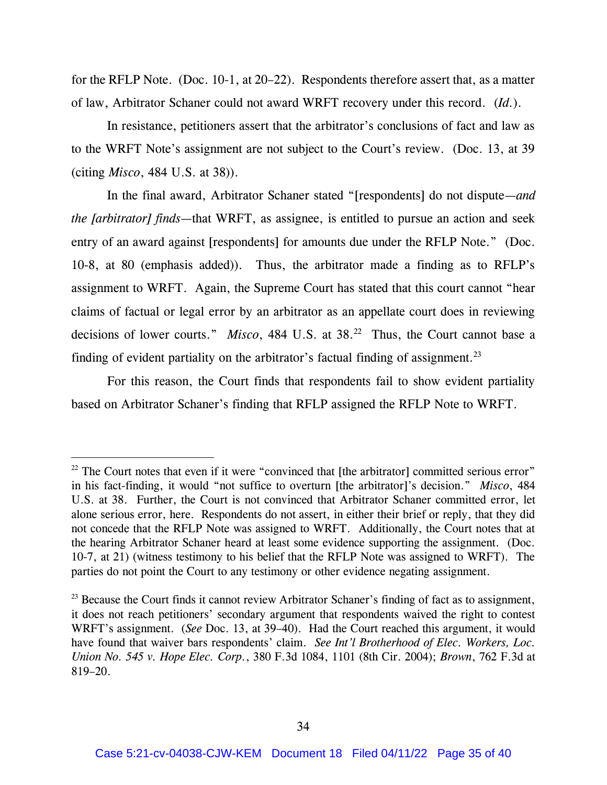for the RFLP Note. (Doc. 10-1, at 20–22). Respondents therefore assert that, as a matter of law, Arbitrator Schaner could not award WRFT recovery under this record. (*Id.*).

In resistance, petitioners assert that the arbitrator's conclusions of fact and law as to the WRFT Note's assignment are not subject to the Court's review. (Doc. 13, at 39 (citing *Misco*, 484 U.S. at 38)).

In the final award, Arbitrator Schaner stated "[respondents] do not dispute—*and the [arbitrator] finds*—that WRFT, as assignee, is entitled to pursue an action and seek entry of an award against [respondents] for amounts due under the RFLP Note." (Doc. 10-8, at 80 (emphasis added)). Thus, the arbitrator made a finding as to RFLP's assignment to WRFT. Again, the Supreme Court has stated that this court cannot "hear claims of factual or legal error by an arbitrator as an appellate court does in reviewing decisions of lower courts." *Misco*, 484 U.S. at 38.<sup>22</sup> Thus, the Court cannot base a finding of evident partiality on the arbitrator's factual finding of assignment.<sup>23</sup>

For this reason, the Court finds that respondents fail to show evident partiality based on Arbitrator Schaner's finding that RFLP assigned the RFLP Note to WRFT.

 $22$  The Court notes that even if it were "convinced that [the arbitrator] committed serious error" in his fact-finding, it would "not suffice to overturn [the arbitrator]'s decision." *Misco*, 484 U.S. at 38. Further, the Court is not convinced that Arbitrator Schaner committed error, let alone serious error, here. Respondents do not assert, in either their brief or reply, that they did not concede that the RFLP Note was assigned to WRFT. Additionally, the Court notes that at the hearing Arbitrator Schaner heard at least some evidence supporting the assignment. (Doc. 10-7, at 21) (witness testimony to his belief that the RFLP Note was assigned to WRFT). The parties do not point the Court to any testimony or other evidence negating assignment.

<sup>&</sup>lt;sup>23</sup> Because the Court finds it cannot review Arbitrator Schaner's finding of fact as to assignment, it does not reach petitioners' secondary argument that respondents waived the right to contest WRFT's assignment. (*See* Doc. 13, at 39–40). Had the Court reached this argument, it would have found that waiver bars respondents' claim. *See Int'l Brotherhood of Elec. Workers, Loc. Union No. 545 v. Hope Elec. Corp.*, 380 F.3d 1084, 1101 (8th Cir. 2004); *Brown*, 762 F.3d at 819–20.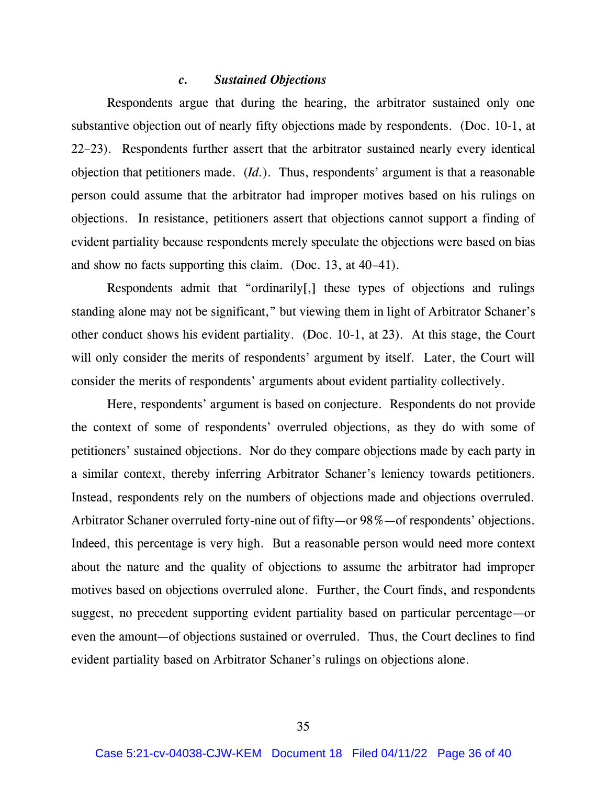#### *c. Sustained Objections*

Respondents argue that during the hearing, the arbitrator sustained only one substantive objection out of nearly fifty objections made by respondents. (Doc. 10-1, at 22–23). Respondents further assert that the arbitrator sustained nearly every identical objection that petitioners made. (*Id.*). Thus, respondents' argument is that a reasonable person could assume that the arbitrator had improper motives based on his rulings on objections. In resistance, petitioners assert that objections cannot support a finding of evident partiality because respondents merely speculate the objections were based on bias and show no facts supporting this claim. (Doc. 13, at 40–41).

Respondents admit that "ordinarily[,] these types of objections and rulings standing alone may not be significant," but viewing them in light of Arbitrator Schaner's other conduct shows his evident partiality. (Doc. 10-1, at 23). At this stage, the Court will only consider the merits of respondents' argument by itself. Later, the Court will consider the merits of respondents' arguments about evident partiality collectively.

Here, respondents' argument is based on conjecture. Respondents do not provide the context of some of respondents' overruled objections, as they do with some of petitioners' sustained objections. Nor do they compare objections made by each party in a similar context, thereby inferring Arbitrator Schaner's leniency towards petitioners. Instead, respondents rely on the numbers of objections made and objections overruled. Arbitrator Schaner overruled forty-nine out of fifty—or 98%—of respondents' objections. Indeed, this percentage is very high. But a reasonable person would need more context about the nature and the quality of objections to assume the arbitrator had improper motives based on objections overruled alone. Further, the Court finds, and respondents suggest, no precedent supporting evident partiality based on particular percentage—or even the amount—of objections sustained or overruled. Thus, the Court declines to find evident partiality based on Arbitrator Schaner's rulings on objections alone.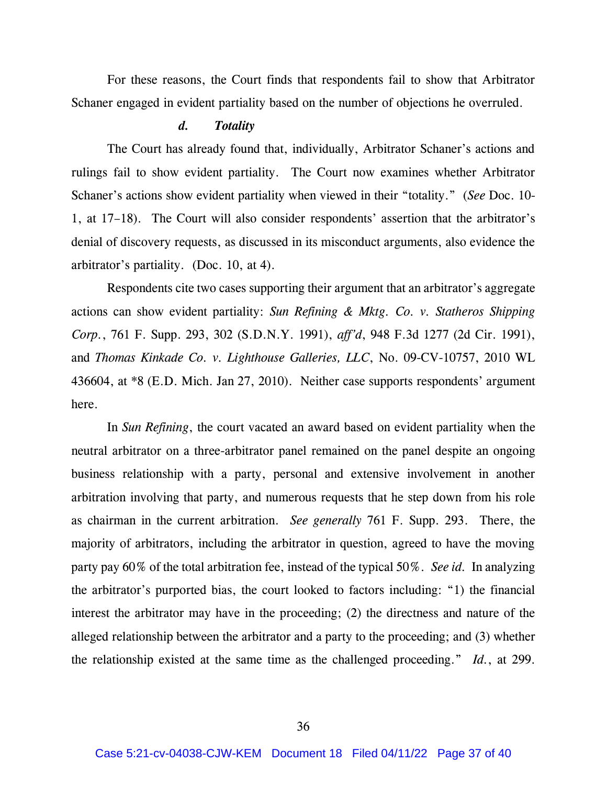For these reasons, the Court finds that respondents fail to show that Arbitrator Schaner engaged in evident partiality based on the number of objections he overruled.

### *d. Totality*

The Court has already found that, individually, Arbitrator Schaner's actions and rulings fail to show evident partiality. The Court now examines whether Arbitrator Schaner's actions show evident partiality when viewed in their "totality." (*See* Doc. 10- 1, at 17–18). The Court will also consider respondents' assertion that the arbitrator's denial of discovery requests, as discussed in its misconduct arguments, also evidence the arbitrator's partiality. (Doc. 10, at 4).

Respondents cite two cases supporting their argument that an arbitrator's aggregate actions can show evident partiality: *Sun Refining & Mktg. Co. v. Statheros Shipping Corp.*, 761 F. Supp. 293, 302 (S.D.N.Y. 1991), *aff'd*, 948 F.3d 1277 (2d Cir. 1991), and *Thomas Kinkade Co. v. Lighthouse Galleries, LLC*, No. 09-CV-10757, 2010 WL 436604, at \*8 (E.D. Mich. Jan 27, 2010). Neither case supports respondents' argument here.

In *Sun Refining*, the court vacated an award based on evident partiality when the neutral arbitrator on a three-arbitrator panel remained on the panel despite an ongoing business relationship with a party, personal and extensive involvement in another arbitration involving that party, and numerous requests that he step down from his role as chairman in the current arbitration. *See generally* 761 F. Supp. 293. There, the majority of arbitrators, including the arbitrator in question, agreed to have the moving party pay 60% of the total arbitration fee, instead of the typical 50%. *See id.* In analyzing the arbitrator's purported bias, the court looked to factors including: "1) the financial interest the arbitrator may have in the proceeding; (2) the directness and nature of the alleged relationship between the arbitrator and a party to the proceeding; and (3) whether the relationship existed at the same time as the challenged proceeding." *Id.*, at 299.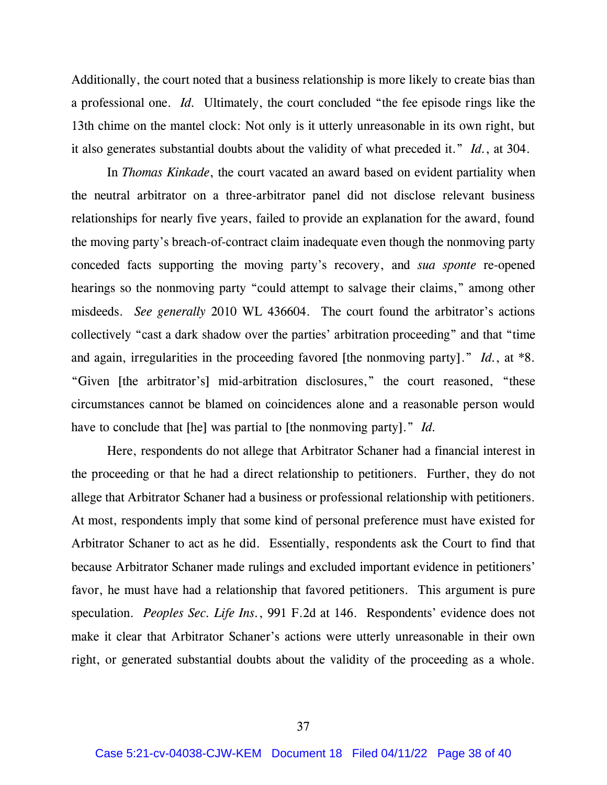Additionally, the court noted that a business relationship is more likely to create bias than a professional one. *Id.* Ultimately, the court concluded "the fee episode rings like the 13th chime on the mantel clock: Not only is it utterly unreasonable in its own right, but it also generates substantial doubts about the validity of what preceded it." *Id.*, at 304.

In *Thomas Kinkade*, the court vacated an award based on evident partiality when the neutral arbitrator on a three-arbitrator panel did not disclose relevant business relationships for nearly five years, failed to provide an explanation for the award, found the moving party's breach-of-contract claim inadequate even though the nonmoving party conceded facts supporting the moving party's recovery, and *sua sponte* re-opened hearings so the nonmoving party "could attempt to salvage their claims," among other misdeeds. *See generally* 2010 WL 436604. The court found the arbitrator's actions collectively "cast a dark shadow over the parties' arbitration proceeding" and that "time and again, irregularities in the proceeding favored [the nonmoving party]." *Id.*, at \*8. "Given [the arbitrator's] mid-arbitration disclosures," the court reasoned, "these circumstances cannot be blamed on coincidences alone and a reasonable person would have to conclude that [he] was partial to [the nonmoving party]." *Id.*

Here, respondents do not allege that Arbitrator Schaner had a financial interest in the proceeding or that he had a direct relationship to petitioners. Further, they do not allege that Arbitrator Schaner had a business or professional relationship with petitioners. At most, respondents imply that some kind of personal preference must have existed for Arbitrator Schaner to act as he did. Essentially, respondents ask the Court to find that because Arbitrator Schaner made rulings and excluded important evidence in petitioners' favor, he must have had a relationship that favored petitioners. This argument is pure speculation. *Peoples Sec. Life Ins.*, 991 F.2d at 146. Respondents' evidence does not make it clear that Arbitrator Schaner's actions were utterly unreasonable in their own right, or generated substantial doubts about the validity of the proceeding as a whole.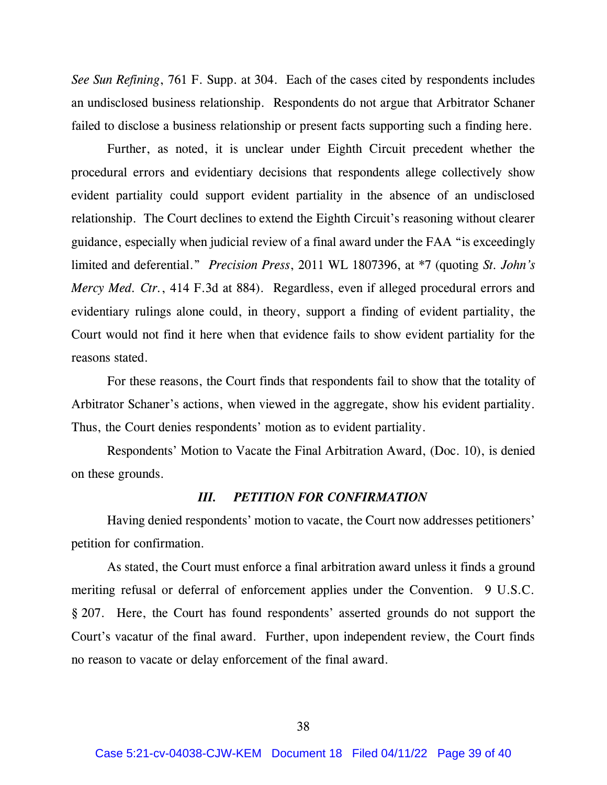*See Sun Refining*, 761 F. Supp. at 304. Each of the cases cited by respondents includes an undisclosed business relationship. Respondents do not argue that Arbitrator Schaner failed to disclose a business relationship or present facts supporting such a finding here.

Further, as noted, it is unclear under Eighth Circuit precedent whether the procedural errors and evidentiary decisions that respondents allege collectively show evident partiality could support evident partiality in the absence of an undisclosed relationship. The Court declines to extend the Eighth Circuit's reasoning without clearer guidance, especially when judicial review of a final award under the FAA "is exceedingly limited and deferential." *Precision Press*, 2011 WL 1807396, at \*7 (quoting *St. John's Mercy Med. Ctr.*, 414 F.3d at 884). Regardless, even if alleged procedural errors and evidentiary rulings alone could, in theory, support a finding of evident partiality, the Court would not find it here when that evidence fails to show evident partiality for the reasons stated.

For these reasons, the Court finds that respondents fail to show that the totality of Arbitrator Schaner's actions, when viewed in the aggregate, show his evident partiality. Thus, the Court denies respondents' motion as to evident partiality.

Respondents' Motion to Vacate the Final Arbitration Award, (Doc. 10), is denied on these grounds.

### *III. PETITION FOR CONFIRMATION*

Having denied respondents' motion to vacate, the Court now addresses petitioners' petition for confirmation.

As stated, the Court must enforce a final arbitration award unless it finds a ground meriting refusal or deferral of enforcement applies under the Convention. 9 U.S.C. § 207. Here, the Court has found respondents' asserted grounds do not support the Court's vacatur of the final award. Further, upon independent review, the Court finds no reason to vacate or delay enforcement of the final award.